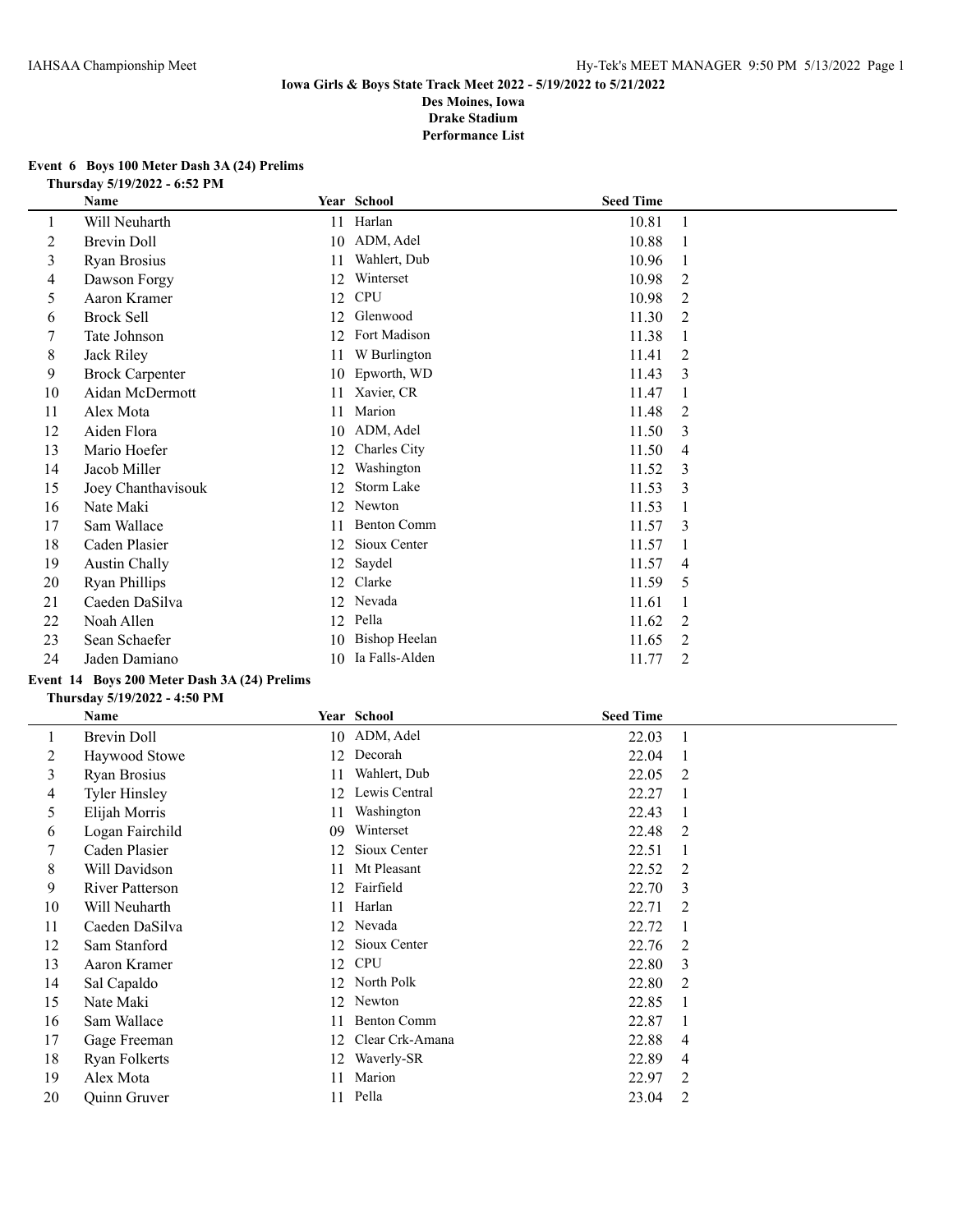#### **Event 6 Boys 100 Meter Dash 3A (24) Prelims Thursday 5/19/2022 - 6:52 PM**

|    | <b>Name</b>            |    | Year School          | <b>Seed Time</b> |                |
|----|------------------------|----|----------------------|------------------|----------------|
| 1  | Will Neuharth          | 11 | Harlan               | 10.81            |                |
| 2  | <b>Brevin Doll</b>     | 10 | ADM, Adel            | 10.88            |                |
| 3  | Ryan Brosius           | 11 | Wahlert, Dub         | 10.96            |                |
| 4  | Dawson Forgy           | 12 | Winterset            | 10.98            | 2              |
| 5  | Aaron Kramer           | 12 | <b>CPU</b>           | 10.98            | 2              |
| 6  | <b>Brock Sell</b>      | 12 | Glenwood             | 11.30            | 2              |
|    | Tate Johnson           | 12 | Fort Madison         | 11.38            | 1              |
| 8  | Jack Riley             | 11 | W Burlington         | 11.41            | 2              |
| 9  | <b>Brock Carpenter</b> | 10 | Epworth, WD          | 11.43            | 3              |
| 10 | Aidan McDermott        | 11 | Xavier, CR           | 11.47            |                |
| 11 | Alex Mota              | 11 | Marion               | 11.48            | 2              |
| 12 | Aiden Flora            | 10 | ADM, Adel            | 11.50            | 3              |
| 13 | Mario Hoefer           | 12 | Charles City         | 11.50            | 4              |
| 14 | Jacob Miller           | 12 | Washington           | 11.52            | 3              |
| 15 | Joey Chanthavisouk     | 12 | Storm Lake           | 11.53            | 3              |
| 16 | Nate Maki              | 12 | Newton               | 11.53            | 1              |
| 17 | Sam Wallace            | 11 | <b>Benton Comm</b>   | 11.57            | 3              |
| 18 | Caden Plasier          | 12 | Sioux Center         | 11.57            | 1              |
| 19 | Austin Chally          | 12 | Saydel               | 11.57            | 4              |
| 20 | <b>Ryan Phillips</b>   | 12 | Clarke               | 11.59            | 5              |
| 21 | Caeden DaSilva         | 12 | Nevada               | 11.61            |                |
| 22 | Noah Allen             | 12 | Pella                | 11.62            | 2              |
| 23 | Sean Schaefer          | 10 | <b>Bishop Heelan</b> | 11.65            | 2              |
| 24 | Jaden Damiano          | 10 | Ia Falls-Alden       | 11.77            | $\overline{2}$ |

# **Event 14 Boys 200 Meter Dash 3A (24) Prelims**

#### **Thursday 5/19/2022 - 4:50 PM**

|         | Name                   |    | Year School        | <b>Seed Time</b> |                |
|---------|------------------------|----|--------------------|------------------|----------------|
| $\perp$ | Brevin Doll            |    | 10 ADM, Adel       | 22.03            |                |
| 2       | Haywood Stowe          | 12 | Decorah            | 22.04            |                |
| 3       | Ryan Brosius           | 11 | Wahlert, Dub       | 22.05            | 2              |
| 4       | <b>Tyler Hinsley</b>   | 12 | Lewis Central      | 22.27            |                |
| 5       | Elijah Morris          | 11 | Washington         | 22.43            |                |
| 6       | Logan Fairchild        | 09 | Winterset          | 22.48            | 2              |
| 7       | Caden Plasier          | 12 | Sioux Center       | 22.51            |                |
| 8       | Will Davidson          | 11 | Mt Pleasant        | 22.52            | 2              |
| 9       | <b>River Patterson</b> | 12 | Fairfield          | 22.70            | 3              |
| 10      | Will Neuharth          | 11 | Harlan             | 22.71            | 2              |
| 11      | Caeden DaSilva         | 12 | Nevada             | 22.72            |                |
| 12      | Sam Stanford           | 12 | Sioux Center       | 22.76            | 2              |
| 13      | Aaron Kramer           | 12 | <b>CPU</b>         | 22.80            | 3              |
| 14      | Sal Capaldo            | 12 | North Polk         | 22.80            | 2              |
| 15      | Nate Maki              | 12 | Newton             | 22.85            |                |
| 16      | Sam Wallace            | 11 | <b>Benton Comm</b> | 22.87            | 1              |
| 17      | Gage Freeman           | 12 | Clear Crk-Amana    | 22.88            | $\overline{4}$ |
| 18      | Ryan Folkerts          | 12 | Waverly-SR         | 22.89            | 4              |
| 19      | Alex Mota              | 11 | Marion             | 22.97            | 2              |
| 20      | Quinn Gruver           | 11 | Pella              | 23.04            | 2              |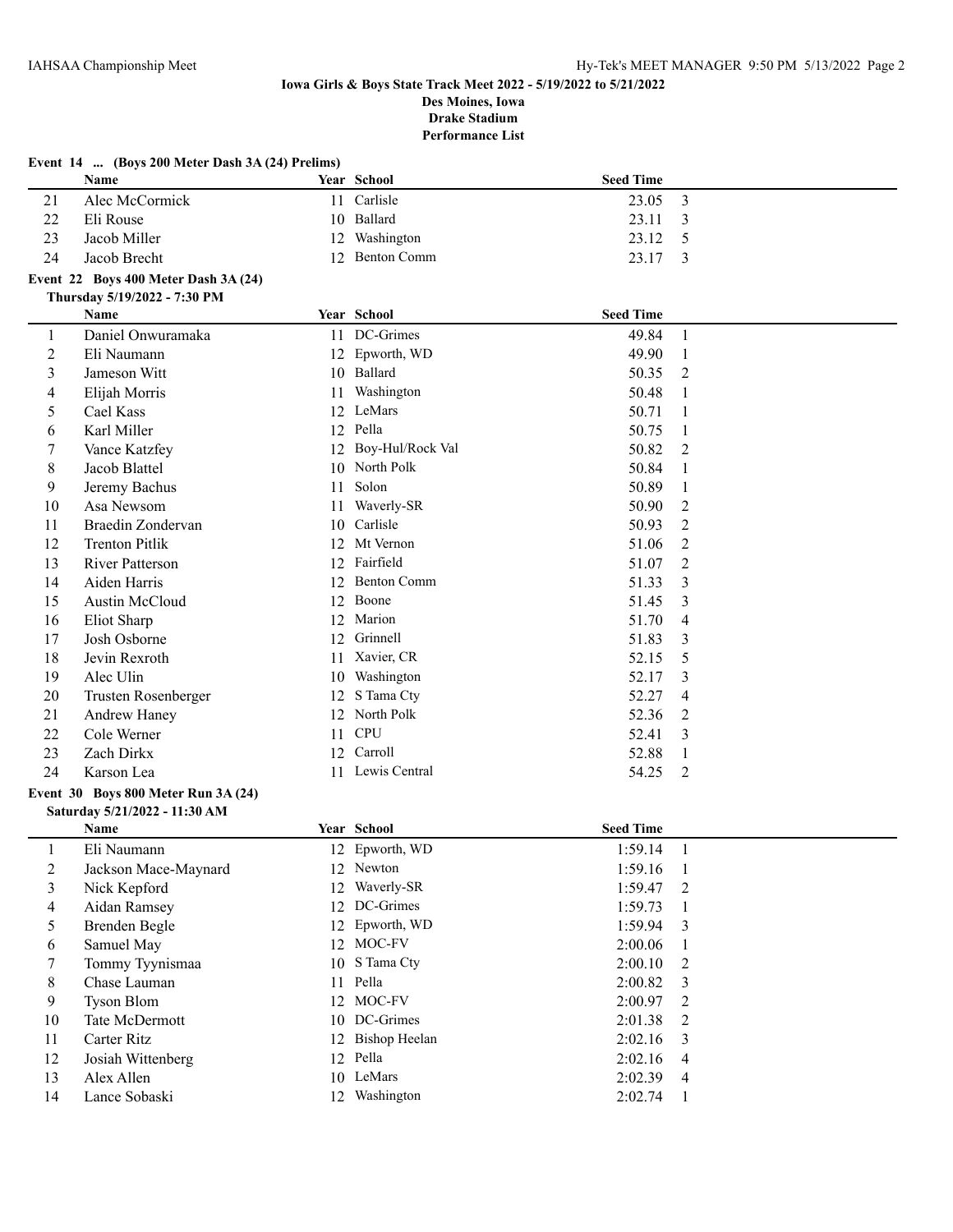|                          | Event $14$ (Boys 200 Meter Dash 3A (24) Prelims)<br>Name |    | Year School         | <b>Seed Time</b> |                |
|--------------------------|----------------------------------------------------------|----|---------------------|------------------|----------------|
| 21                       | Alec McCormick                                           |    | 11 Carlisle         | 23.05            | 3              |
| 22                       | Eli Rouse                                                |    | 10 Ballard          | 23.11            | 3              |
| 23                       | Jacob Miller                                             | 12 | Washington          | 23.12            | 5              |
| 24                       | Jacob Brecht                                             | 12 | <b>Benton Comm</b>  | 23.17            | 3              |
|                          | Event 22 Boys 400 Meter Dash 3A (24)                     |    |                     |                  |                |
|                          | Thursday 5/19/2022 - 7:30 PM                             |    |                     |                  |                |
|                          | Name                                                     |    | Year School         | <b>Seed Time</b> |                |
| $\mathbf{1}$             | Daniel Onwuramaka                                        |    | 11 DC-Grimes        | 49.84            | $\overline{1}$ |
| $\overline{c}$           | Eli Naumann                                              |    | 12 Epworth, WD      | 49.90            | -1             |
| 3                        | Jameson Witt                                             |    | 10 Ballard          | 50.35            | 2              |
| 4                        | Elijah Morris                                            | 11 | Washington          | 50.48            | 1              |
| 5                        | Cael Kass                                                |    | 12 LeMars           | 50.71            | 1              |
| 6                        | Karl Miller                                              |    | 12 Pella            | 50.75            | 1              |
| 7                        | Vance Katzfey                                            |    | 12 Boy-Hul/Rock Val | 50.82            | $\overline{2}$ |
| 8                        | Jacob Blattel                                            |    | 10 North Polk       | 50.84            | 1              |
| 9                        | Jeremy Bachus                                            | 11 | Solon               | 50.89            | $\mathbf{1}$   |
| 10                       | Asa Newsom                                               | 11 | Waverly-SR          | 50.90            | 2              |
| 11                       | <b>Braedin Zondervan</b>                                 |    | 10 Carlisle         | 50.93            | $\overline{2}$ |
| 12                       | <b>Trenton Pitlik</b>                                    | 12 | Mt Vernon           | 51.06            | $\overline{2}$ |
| 13                       | <b>River Patterson</b>                                   | 12 | Fairfield           | 51.07            | $\overline{2}$ |
| 14                       | Aiden Harris                                             | 12 | <b>Benton Comm</b>  | 51.33            | 3              |
| 15                       | Austin McCloud                                           | 12 | Boone               | 51.45            | 3              |
| 16                       | Eliot Sharp                                              | 12 | Marion              | 51.70            | 4              |
| 17                       | Josh Osborne                                             | 12 | Grinnell            | 51.83            | 3              |
| 18                       | Jevin Rexroth                                            | 11 | Xavier, CR          | 52.15            | 5              |
| 19                       | Alec Ulin                                                | 10 | Washington          | 52.17            | 3              |
| 20                       | Trusten Rosenberger                                      | 12 | S Tama Cty          | 52.27            | 4              |
| 21                       | Andrew Haney                                             | 12 | North Polk          | 52.36            | 2              |
| 22                       | Cole Werner                                              | 11 | <b>CPU</b>          | 52.41            | 3              |
| 23                       | Zach Dirkx                                               | 12 | Carroll             | 52.88            | $\mathbf{1}$   |
| 24                       | Karson Lea                                               |    | 11 Lewis Central    | 54.25            | 2              |
|                          | Event 30 Boys 800 Meter Run 3A (24)                      |    |                     |                  |                |
|                          | Saturday 5/21/2022 - 11:30 AM                            |    |                     |                  |                |
|                          | Name                                                     |    | Year School         | <b>Seed Time</b> |                |
| $\mathbf{1}$             | Eli Naumann                                              |    | 12 Epworth, WD      | 1:59.14          | -1             |
| $\overline{c}$           | Jackson Mace-Maynard                                     |    | 12 Newton           | 1:59.16          | $\mathbf{1}$   |
| 3                        | Nick Kepford                                             |    | 12 Waverly-SR       | 1:59.47          | 2              |
| $\overline{\mathcal{A}}$ | Aidan Ramsey                                             |    | 12 DC-Grimes        | 1:59.73          | -1             |
| 5                        | <b>Brenden Begle</b>                                     |    | 12 Epworth, WD      | 1:59.94          | 3              |
| 6                        | Samuel May                                               |    | 12 MOC-FV           | 2:00.06          | 1              |
| 7                        | Tommy Tyynismaa                                          |    | 10 S Tama Cty       | 2:00.10          | 2              |
| 8                        | Chase Lauman                                             |    | 11 Pella            | 2:00.82          | 3              |
| 9                        | Tyson Blom                                               |    | 12 MOC-FV           | 2:00.97          | $\overline{2}$ |
| 10                       | Tate McDermott                                           |    | 10 DC-Grimes        | $2:01.38$ 2      |                |

 Carter Ritz 12 Bishop Heelan 2:02.16 3 Josiah Wittenberg 12 Pella 2:02.16 4 13 Alex Allen 10 LeMars 2:02.39 4<br>14 Lance Sobaski 12 Washington 2:02.74 1 14 Lance Sobaski 12 Washington 2:02.74 1

#### **Event 14 ... (Boys 200 Meter Dash 3A (24) Prelims)**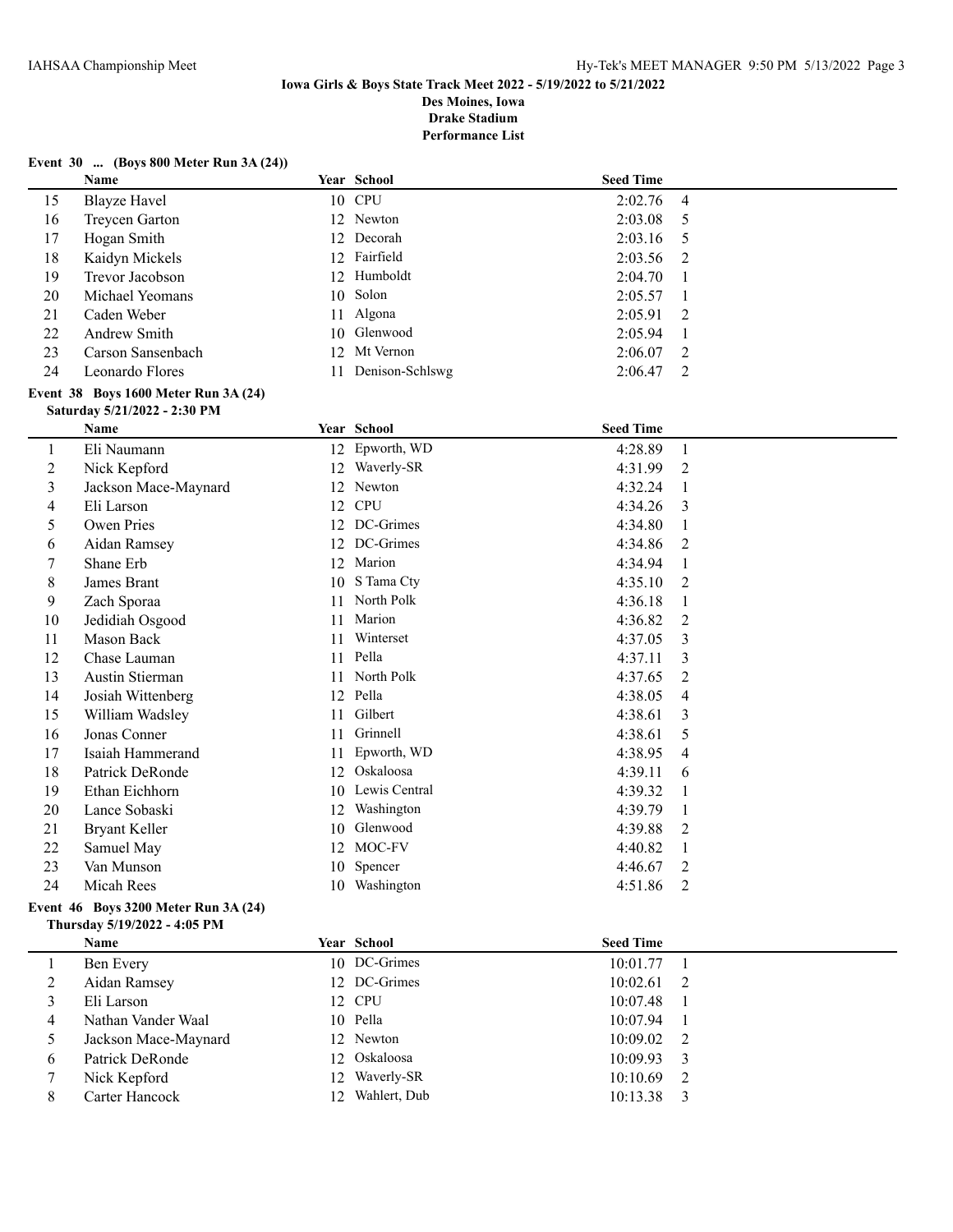#### **Event 30 ... (Boys 800 Meter Run 3A (24))**

|    | <b>Name</b>                             |     | Year School     | <b>Seed Time</b> |                |  |  |
|----|-----------------------------------------|-----|-----------------|------------------|----------------|--|--|
| 15 | Blayze Havel                            |     | 10 CPU          | 2:02.76          | -4             |  |  |
| 16 | Treycen Garton                          |     | 12 Newton       | 2:03.08          | - 5            |  |  |
| 17 | Hogan Smith                             |     | 12 Decorah      | 2:03.16          | - 5            |  |  |
| 18 | Kaidyn Mickels                          |     | 12 Fairfield    | $2:03.56$ 2      |                |  |  |
| 19 | Trevor Jacobson                         |     | 12 Humboldt     | 2:04.70          |                |  |  |
| 20 | Michael Yeomans                         |     | 10 Solon        | 2:05.57          | - 1            |  |  |
| 21 | Caden Weber                             |     | 11 Algona       | 2:05.91          | $\overline{2}$ |  |  |
| 22 | Andrew Smith                            |     | 10 Glenwood     | 2:05.94          |                |  |  |
| 23 | Carson Sansenbach                       |     | 12 Mt Vernon    | 2:06.07          | - 2            |  |  |
| 24 | Leonardo Flores                         | 11. | Denison-Schlswg | 2:06.47          | $\overline{2}$ |  |  |
|    | Event $38$ Boys 1600 Meter Run $3A(24)$ |     |                 |                  |                |  |  |

# **Saturday 5/21/2022 - 2:30 PM**

|                | <b>Name</b>                          |    | Year School   | <b>Seed Time</b> |                |
|----------------|--------------------------------------|----|---------------|------------------|----------------|
| 1              | Eli Naumann                          | 12 | Epworth, WD   | 4:28.89          | 1              |
| $\overline{c}$ | Nick Kepford                         | 12 | Waverly-SR    | 4:31.99          | 2              |
| 3              | Jackson Mace-Maynard                 | 12 | Newton        | 4:32.24          | -1             |
| 4              | Eli Larson                           | 12 | <b>CPU</b>    | 4:34.26          | 3              |
| 5              | Owen Pries                           | 12 | DC-Grimes     | 4:34.80          |                |
| 6              | Aidan Ramsey                         | 12 | DC-Grimes     | 4:34.86          | 2              |
| 7              | Shane Erb                            | 12 | Marion        | 4:34.94          |                |
| 8              | James Brant                          | 10 | S Tama Cty    | 4:35.10          | 2              |
| 9              | Zach Sporaa                          | 11 | North Polk    | 4:36.18          |                |
| 10             | Jedidiah Osgood                      | 11 | Marion        | 4:36.82          | 2              |
| 11             | Mason Back                           | 11 | Winterset     | 4:37.05          | 3              |
| 12             | Chase Lauman                         | 11 | Pella         | 4:37.11          | 3              |
| 13             | Austin Stierman                      | 11 | North Polk    | 4:37.65          | $\overline{2}$ |
| 14             | Josiah Wittenberg                    | 12 | Pella         | 4:38.05          | 4              |
| 15             | William Wadsley                      | 11 | Gilbert       | 4:38.61          | 3              |
| 16             | Jonas Conner                         | 11 | Grinnell      | 4:38.61          | 5              |
| 17             | Isaiah Hammerand                     | 11 | Epworth, WD   | 4:38.95          | 4              |
| 18             | Patrick DeRonde                      | 12 | Oskaloosa     | 4:39.11          | 6              |
| 19             | Ethan Eichhorn                       | 10 | Lewis Central | 4:39.32          | -1             |
| 20             | Lance Sobaski                        | 12 | Washington    | 4:39.79          | 1              |
| 21             | <b>Bryant Keller</b>                 | 10 | Glenwood      | 4:39.88          | 2              |
| 22             | Samuel May                           | 12 | MOC-FV        | 4:40.82          | 1              |
| 23             | Van Munson                           | 10 | Spencer       | 4:46.67          | 2              |
| 24             | Micah Rees                           | 10 | Washington    | 4:51.86          | 2              |
|                | Event 46 Boys 3200 Meter Run 3A (24) |    |               |                  |                |

# **Thursday 5/19/2022 - 4:05 PM**

|   | Name                 |                 | Year School   | <b>Seed Time</b> |  |
|---|----------------------|-----------------|---------------|------------------|--|
|   | Ben Every            |                 | 10 DC-Grimes  | $10:01.77$ 1     |  |
|   | Aidan Ramsey         |                 | 12 DC-Grimes  | $10:02.61$ 2     |  |
|   | Eli Larson           |                 | 12 CPU        | 10:07.48         |  |
|   | Nathan Vander Waal   |                 | 10 Pella      | 10:07.94         |  |
|   | Jackson Mace-Maynard |                 | 12 Newton     | $10:09.02$ 2     |  |
| 6 | Patrick DeRonde      |                 | 12 Oskaloosa  | $10:09.93$ 3     |  |
|   | Nick Kepford         |                 | 12 Waverly-SR | $10:10.69$ 2     |  |
| 8 | Carter Hancock       | 12 <sub>1</sub> | Wahlert, Dub  | 10:13.38         |  |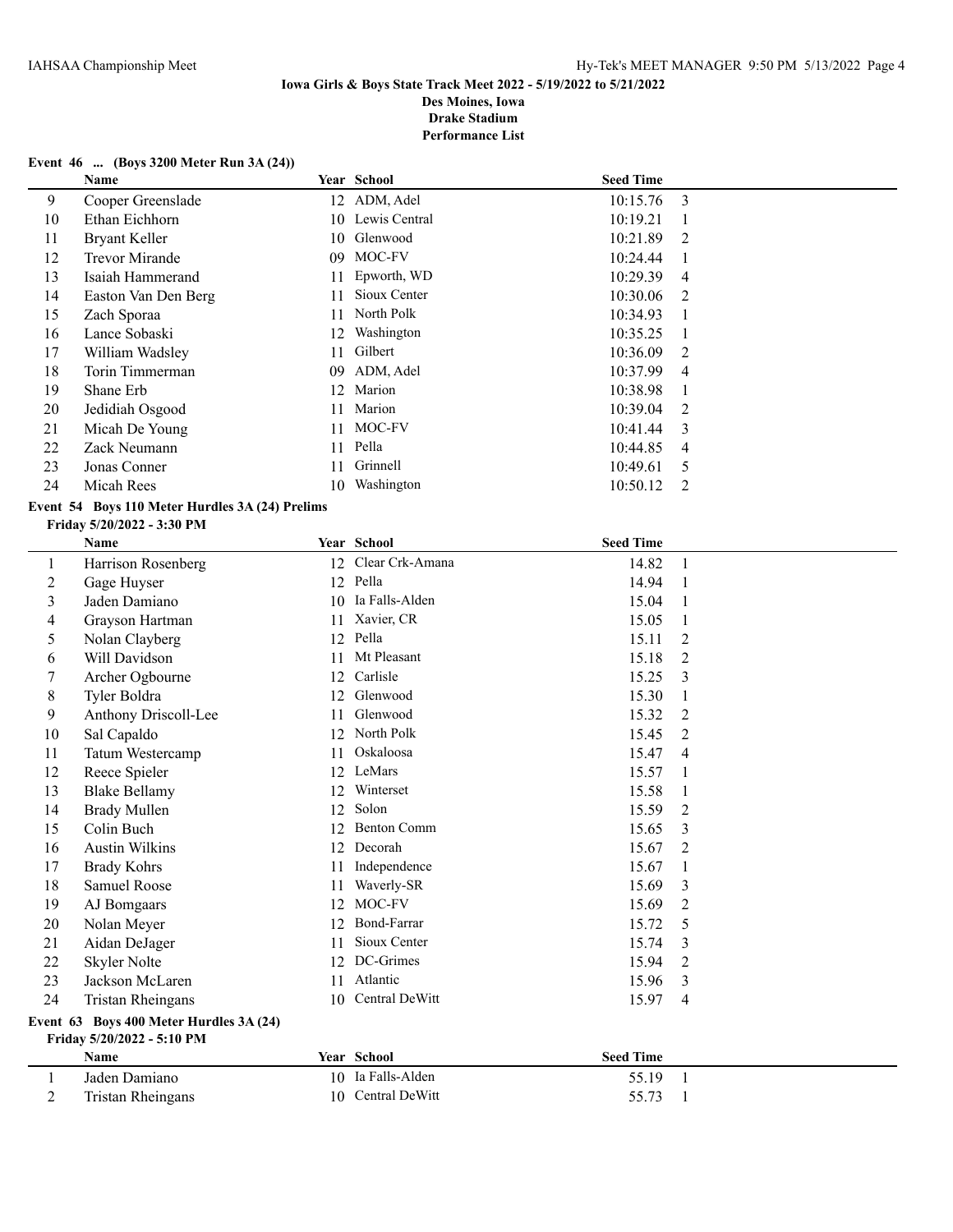**Performance List**

#### **Event 46 ... (Boys 3200 Meter Run 3A (24))**

|    | Name                |    | Year School   | <b>Seed Time</b> |                |
|----|---------------------|----|---------------|------------------|----------------|
| 9  | Cooper Greenslade   |    | 12 ADM, Adel  | 10:15.76         | $\overline{3}$ |
| 10 | Ethan Eichhorn      | 10 | Lewis Central | 10:19.21         |                |
| 11 | Bryant Keller       |    | 10 Glenwood   | 10:21.89         | $\overline{2}$ |
| 12 | Trevor Mirande      | 09 | MOC-FV        | 10:24.44         |                |
| 13 | Isaiah Hammerand    |    | Epworth, WD   | 10:29.39         | $\overline{4}$ |
| 14 | Easton Van Den Berg |    | Sioux Center  | 10:30.06         | $\mathcal{L}$  |
| 15 | Zach Sporaa         | 11 | North Polk    | 10:34.93         |                |
| 16 | Lance Sobaski       |    | 12 Washington | 10:35.25         |                |
| 17 | William Wadsley     | 11 | Gilbert       | 10:36.09         | 2              |
| 18 | Torin Timmerman     | 09 | ADM, Adel     | 10:37.99         | $\overline{4}$ |
| 19 | Shane Erb           | 12 | Marion        | 10:38.98         |                |
| 20 | Jedidiah Osgood     | 11 | Marion        | 10:39.04         | $\mathcal{L}$  |
| 21 | Micah De Young      | 11 | MOC-FV        | 10:41.44         | 3              |
| 22 | Zack Neumann        | 11 | Pella         | 10:44.85         | $\overline{4}$ |
| 23 | Jonas Conner        |    | Grinnell      | 10:49.61         | 5              |
| 24 | Micah Rees          | 10 | Washington    | 10:50.12         | 2              |

## **Event 54 Boys 110 Meter Hurdles 3A (24) Prelims**

#### **Friday 5/20/2022 - 3:30 PM**

|    | Name                                                                  |    | <b>Year School</b> | <b>Seed Time</b> |                          |  |  |
|----|-----------------------------------------------------------------------|----|--------------------|------------------|--------------------------|--|--|
| 1  | Harrison Rosenberg                                                    | 12 | Clear Crk-Amana    | 14.82            | $\overline{1}$           |  |  |
| 2  | Gage Huyser                                                           |    | 12 Pella           | 14.94            | $\overline{\phantom{0}}$ |  |  |
| 3  | Jaden Damiano                                                         |    | 10 Ia Falls-Alden  | 15.04            | $\overline{1}$           |  |  |
| 4  | Grayson Hartman                                                       | 11 | Xavier, CR         | 15.05            | $\overline{1}$           |  |  |
| 5  | Nolan Clayberg                                                        | 12 | Pella              | 15.11            | 2                        |  |  |
| 6  | Will Davidson                                                         | 11 | Mt Pleasant        | 15.18            | $\overline{2}$           |  |  |
| 7  | Archer Ogbourne                                                       | 12 | Carlisle           | 15.25            | 3                        |  |  |
| 8  | Tyler Boldra                                                          | 12 | Glenwood           | 15.30            | -1                       |  |  |
| 9  | Anthony Driscoll-Lee                                                  | 11 | Glenwood           | 15.32            | 2                        |  |  |
| 10 | Sal Capaldo                                                           | 12 | North Polk         | 15.45            | 2                        |  |  |
| 11 | Tatum Westercamp                                                      | 11 | Oskaloosa          | 15.47            | $\overline{4}$           |  |  |
| 12 | Reece Spieler                                                         | 12 | LeMars             | 15.57            | 1                        |  |  |
| 13 | <b>Blake Bellamy</b>                                                  | 12 | Winterset          | 15.58            | $\overline{1}$           |  |  |
| 14 | <b>Brady Mullen</b>                                                   | 12 | Solon              | 15.59            | $\overline{2}$           |  |  |
| 15 | Colin Buch                                                            | 12 | <b>Benton Comm</b> | 15.65            | 3                        |  |  |
| 16 | <b>Austin Wilkins</b>                                                 | 12 | Decorah            | 15.67            | $\overline{2}$           |  |  |
| 17 | <b>Brady Kohrs</b>                                                    | 11 | Independence       | 15.67            | 1                        |  |  |
| 18 | <b>Samuel Roose</b>                                                   | 11 | Waverly-SR         | 15.69            | 3                        |  |  |
| 19 | AJ Bomgaars                                                           | 12 | MOC-FV             | 15.69            | $\overline{2}$           |  |  |
| 20 | Nolan Meyer                                                           | 12 | Bond-Farrar        | 15.72            | 5                        |  |  |
| 21 | Aidan DeJager                                                         | 11 | Sioux Center       | 15.74            | 3                        |  |  |
| 22 | Skyler Nolte                                                          | 12 | DC-Grimes          | 15.94            | $\overline{2}$           |  |  |
| 23 | Jackson McLaren                                                       | 11 | Atlantic           | 15.96            | 3                        |  |  |
| 24 | <b>Tristan Rheingans</b>                                              | 10 | Central DeWitt     | 15.97            | $\overline{4}$           |  |  |
|    | Event 63 Boys 400 Meter Hurdles 3A (24)<br>Friday 5/20/2022 - 5:10 PM |    |                    |                  |                          |  |  |

| <b>Name</b>       | <b>Year School</b> | <b>Seed Time</b> |  |
|-------------------|--------------------|------------------|--|
| Jaden Damiano     | 10 Ia Falls-Alden  | 55.19            |  |
| Tristan Rheingans | 10 Central DeWitt  | 55.73            |  |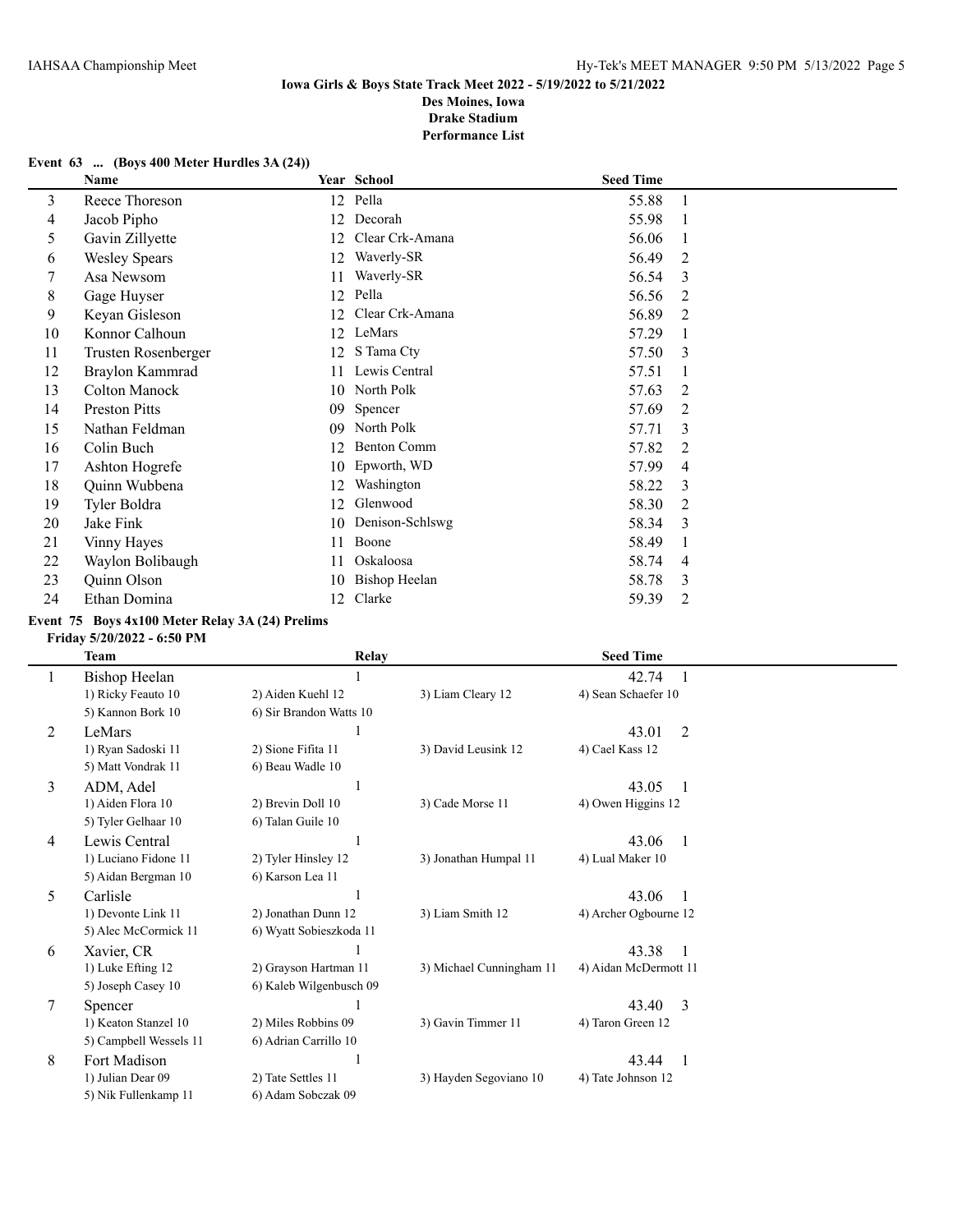#### **Event 63 ... (Boys 400 Meter Hurdles 3A (24))**

|    | Name                 |    | Year School          | <b>Seed Time</b> |    |
|----|----------------------|----|----------------------|------------------|----|
| 3  | Reece Thoreson       |    | 12 Pella             | 55.88            | -1 |
| 4  | Jacob Pipho          | 12 | Decorah              | 55.98            |    |
| 5  | Gavin Zillyette      | 12 | Clear Crk-Amana      | 56.06            |    |
| 6  | <b>Wesley Spears</b> | 12 | Waverly-SR           | 56.49            | 2  |
| 7  | Asa Newsom           | 11 | Waverly-SR           | 56.54            | 3  |
| 8  | Gage Huyser          | 12 | Pella                | 56.56            | 2  |
| 9  | Keyan Gisleson       | 12 | Clear Crk-Amana      | 56.89            | 2  |
| 10 | Konnor Calhoun       | 12 | LeMars               | 57.29            |    |
| 11 | Trusten Rosenberger  | 12 | S Tama Cty           | 57.50            | 3  |
| 12 | Braylon Kammrad      | 11 | Lewis Central        | 57.51            |    |
| 13 | Colton Manock        | 10 | North Polk           | 57.63            | 2  |
| 14 | <b>Preston Pitts</b> | 09 | Spencer              | 57.69            | 2  |
| 15 | Nathan Feldman       | 09 | North Polk           | 57.71            | 3  |
| 16 | Colin Buch           | 12 | <b>Benton Comm</b>   | 57.82            | 2  |
| 17 | Ashton Hogrefe       | 10 | Epworth, WD          | 57.99            | 4  |
| 18 | Quinn Wubbena        | 12 | Washington           | 58.22            | 3  |
| 19 | Tyler Boldra         | 12 | Glenwood             | 58.30            | 2  |
| 20 | Jake Fink            | 10 | Denison-Schlswg      | 58.34            | 3  |
| 21 | Vinny Hayes          | 11 | Boone                | 58.49            |    |
| 22 | Waylon Bolibaugh     | 11 | Oskaloosa            | 58.74            | 4  |
| 23 | Quinn Olson          | 10 | <b>Bishop Heelan</b> | 58.78            | 3  |
| 24 | Ethan Domina         | 12 | Clarke               | 59.39            | 2  |

#### **Event 75 Boys 4x100 Meter Relay 3A (24) Prelims**

#### **Friday 5/20/2022 - 6:50 PM**

|          | Team                   | <b>Relay</b>            |                          | <b>Seed Time</b>      |  |
|----------|------------------------|-------------------------|--------------------------|-----------------------|--|
| $\bf{l}$ | Bishop Heelan          |                         |                          | 42.74                 |  |
|          | 1) Ricky Feauto 10     | 2) Aiden Kuehl 12       | 3) Liam Cleary 12        | 4) Sean Schaefer 10   |  |
|          | 5) Kannon Bork 10      | 6) Sir Brandon Watts 10 |                          |                       |  |
| 2        | LeMars                 |                         |                          | 43.01<br>2            |  |
|          | 1) Ryan Sadoski 11     | 2) Sione Fifita 11      | 3) David Leusink 12      | 4) Cael Kass 12       |  |
|          | 5) Matt Vondrak 11     | 6) Beau Wadle 10        |                          |                       |  |
| 3        | ADM, Adel              |                         |                          | 43.05<br>$\mathbf{1}$ |  |
|          | 1) Aiden Flora 10      | 2) Brevin Doll 10       | 3) Cade Morse 11         | 4) Owen Higgins 12    |  |
|          | 5) Tyler Gelhaar 10    | 6) Talan Guile 10       |                          |                       |  |
| 4        | Lewis Central          |                         |                          | 43.06<br>-1           |  |
|          | 1) Luciano Fidone 11   | 2) Tyler Hinsley 12     | 3) Jonathan Humpal 11    | 4) Lual Maker 10      |  |
|          | 5) Aidan Bergman 10    | 6) Karson Lea 11        |                          |                       |  |
| 5        | Carlisle               |                         |                          | 43.06<br>-1           |  |
|          | 1) Devonte Link 11     | 2) Jonathan Dunn 12     | 3) Liam Smith 12         | 4) Archer Ogbourne 12 |  |
|          | 5) Alec McCormick 11   | 6) Wyatt Sobieszkoda 11 |                          |                       |  |
| 6        | Xavier, CR             |                         |                          | 43.38<br>1            |  |
|          | 1) Luke Efting 12      | 2) Grayson Hartman 11   | 3) Michael Cunningham 11 | 4) Aidan McDermott 11 |  |
|          | 5) Joseph Casey 10     | 6) Kaleb Wilgenbusch 09 |                          |                       |  |
| 7        | Spencer                |                         |                          | 3<br>43.40            |  |
|          | 1) Keaton Stanzel 10   | 2) Miles Robbins 09     | 3) Gavin Timmer 11       | 4) Taron Green 12     |  |
|          | 5) Campbell Wessels 11 | 6) Adrian Carrillo 10   |                          |                       |  |
| 8        | Fort Madison           |                         |                          | 43.44<br>-1           |  |
|          | 1) Julian Dear 09      | 2) Tate Settles 11      | 3) Hayden Segoviano 10   | 4) Tate Johnson 12    |  |
|          | 5) Nik Fullenkamp 11   | 6) Adam Sobczak 09      |                          |                       |  |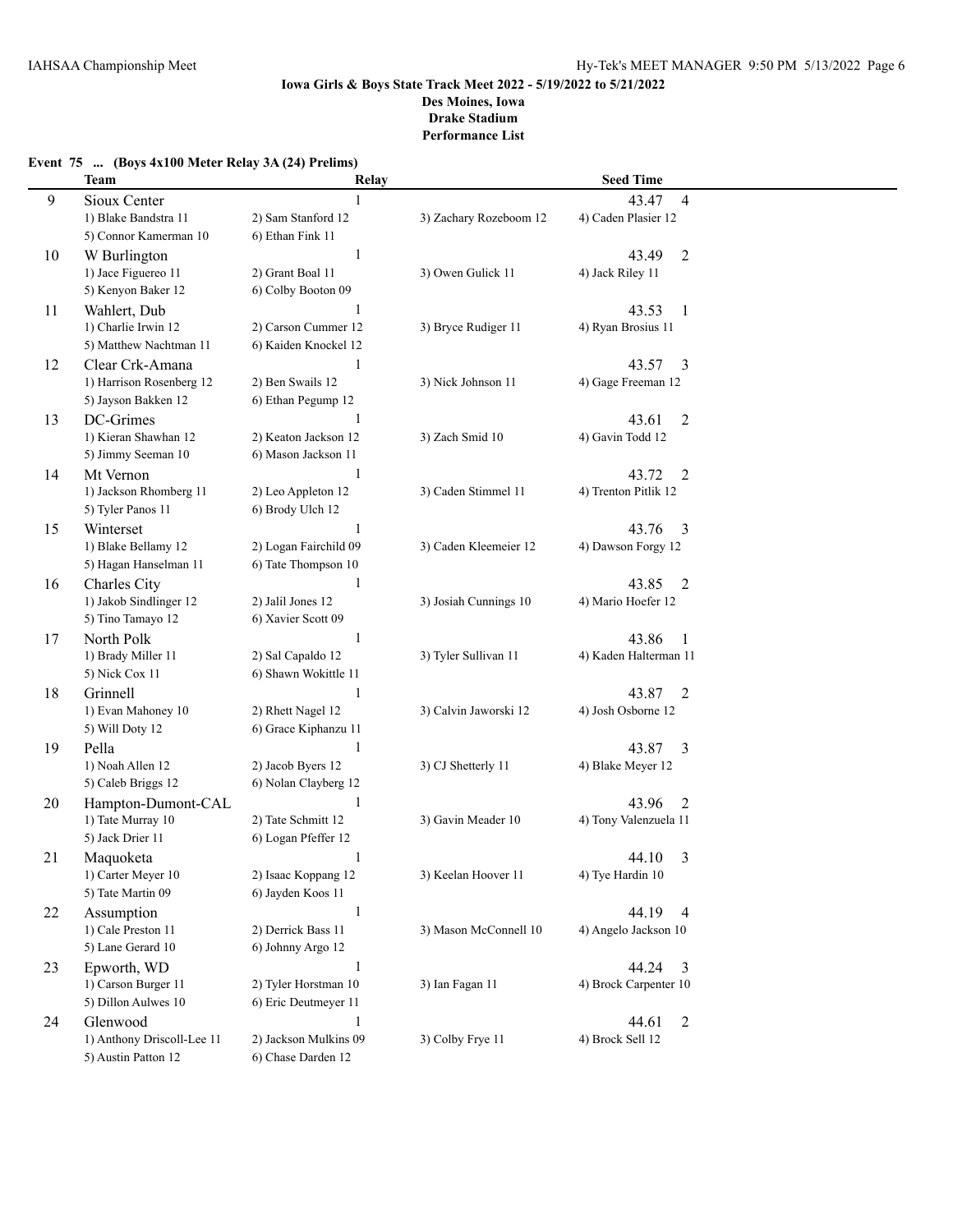|  |  | Event 75  (Boys 4x100 Meter Relay 3A (24) Prelims) |  |  |  |  |
|--|--|----------------------------------------------------|--|--|--|--|
|--|--|----------------------------------------------------|--|--|--|--|

|    | <b>Team</b>                            | Relay                             |                        | <b>Seed Time</b>                    |  |
|----|----------------------------------------|-----------------------------------|------------------------|-------------------------------------|--|
| 9  | Sioux Center                           | $\mathbf{1}$                      |                        | $\overline{4}$<br>43.47             |  |
|    | 1) Blake Bandstra 11                   | 2) Sam Stanford 12                | 3) Zachary Rozeboom 12 | 4) Caden Plasier 12                 |  |
|    | 5) Connor Kamerman 10                  | 6) Ethan Fink 11                  |                        |                                     |  |
| 10 | W Burlington                           | $\mathbf{1}$                      |                        | $\overline{2}$<br>43.49             |  |
|    | 1) Jace Figuereo 11                    | 2) Grant Boal 11                  | 3) Owen Gulick 11      | 4) Jack Riley 11                    |  |
|    | 5) Kenyon Baker 12                     | 6) Colby Booton 09                |                        |                                     |  |
| 11 | Wahlert, Dub                           | 1                                 |                        | 43.53<br>$\mathbf{1}$               |  |
|    | 1) Charlie Irwin 12                    | 2) Carson Cummer 12               | 3) Bryce Rudiger 11    | 4) Ryan Brosius 11                  |  |
|    | 5) Matthew Nachtman 11                 | 6) Kaiden Knockel 12              |                        |                                     |  |
| 12 | Clear Crk-Amana                        | 1                                 |                        | 43.57<br>3                          |  |
|    | 1) Harrison Rosenberg 12               | 2) Ben Swails 12                  | 3) Nick Johnson 11     | 4) Gage Freeman 12                  |  |
|    | 5) Jayson Bakken 12                    | 6) Ethan Pegump 12                |                        |                                     |  |
| 13 | DC-Grimes                              | 1                                 |                        | 43.61<br>2                          |  |
|    | 1) Kieran Shawhan 12                   | 2) Keaton Jackson 12              | 3) Zach Smid 10        | 4) Gavin Todd 12                    |  |
|    | 5) Jimmy Seeman 10                     | 6) Mason Jackson 11               |                        |                                     |  |
| 14 | Mt Vernon                              | 1                                 |                        | 43.72<br>2                          |  |
|    | 1) Jackson Rhomberg 11                 | 2) Leo Appleton 12                | 3) Caden Stimmel 11    | 4) Trenton Pitlik 12                |  |
|    | 5) Tyler Panos 11                      | 6) Brody Ulch 12                  |                        |                                     |  |
| 15 | Winterset                              | 1                                 |                        | 43.76<br>3                          |  |
|    | 1) Blake Bellamy 12                    | 2) Logan Fairchild 09             | 3) Caden Kleemeier 12  | 4) Dawson Forgy 12                  |  |
|    | 5) Hagan Hanselman 11                  | 6) Tate Thompson 10               |                        |                                     |  |
| 16 | Charles City                           | $\mathbf{1}$                      |                        | 43.85<br>2                          |  |
|    | 1) Jakob Sindlinger 12                 | 2) Jalil Jones 12                 | 3) Josiah Cunnings 10  | 4) Mario Hoefer 12                  |  |
|    | 5) Tino Tamayo 12                      | 6) Xavier Scott 09                |                        |                                     |  |
|    |                                        |                                   |                        | 43.86                               |  |
| 17 | North Polk                             | $\mathbf{1}$<br>2) Sal Capaldo 12 |                        | -1<br>4) Kaden Halterman 11         |  |
|    | 1) Brady Miller 11<br>5) Nick Cox 11   | 6) Shawn Wokittle 11              | 3) Tyler Sullivan 11   |                                     |  |
|    |                                        |                                   |                        |                                     |  |
| 18 | Grinnell                               | $\mathbf{1}$                      |                        | 43.87<br>$\overline{2}$             |  |
|    | 1) Evan Mahoney 10                     | 2) Rhett Nagel 12                 | 3) Calvin Jaworski 12  | 4) Josh Osborne 12                  |  |
|    | 5) Will Doty 12                        | 6) Grace Kiphanzu 11              |                        |                                     |  |
| 19 | Pella                                  | $\mathbf{1}$                      |                        | 43.87<br>3                          |  |
|    | 1) Noah Allen 12<br>5) Caleb Briggs 12 | 2) Jacob Byers 12                 | 3) CJ Shetterly 11     | 4) Blake Meyer 12                   |  |
|    |                                        | 6) Nolan Clayberg 12              |                        |                                     |  |
| 20 | Hampton-Dumont-CAL                     | 1                                 |                        | 43.96<br>2<br>4) Tony Valenzuela 11 |  |
|    | 1) Tate Murray 10                      | 2) Tate Schmitt 12                | 3) Gavin Meader 10     |                                     |  |
|    | 5) Jack Drier 11                       | 6) Logan Pfeffer 12               |                        |                                     |  |
| 21 | Maquoketa                              | 1                                 |                        | 44.10<br>3                          |  |
|    | 1) Carter Meyer 10                     | 2) Isaac Koppang 12               | 3) Keelan Hoover 11    | 4) Tye Hardin 10                    |  |
|    | 5) Tate Martin 09                      | 6) Jayden Koos 11                 |                        |                                     |  |
| 22 | Assumption                             | $\mathbf{1}$                      |                        | 44.19<br>$\overline{4}$             |  |
|    | 1) Cale Preston 11                     | 2) Derrick Bass 11                | 3) Mason McConnell 10  | 4) Angelo Jackson 10                |  |
|    | 5) Lane Gerard 10                      | 6) Johnny Argo 12                 |                        |                                     |  |
| 23 | Epworth, WD                            | $\mathbf{1}$                      |                        | 44.24<br>$\overline{3}$             |  |
|    | 1) Carson Burger 11                    | 2) Tyler Horstman 10              | 3) Ian Fagan 11        | 4) Brock Carpenter 10               |  |
|    | 5) Dillon Aulwes 10                    | 6) Eric Deutmeyer 11              |                        |                                     |  |
| 24 | Glenwood                               | $\mathbf{1}$                      |                        | $\overline{2}$<br>44.61             |  |
|    | 1) Anthony Driscoll-Lee 11             | 2) Jackson Mulkins 09             | 3) Colby Frye 11       | 4) Brock Sell 12                    |  |
|    | 5) Austin Patton 12                    | 6) Chase Darden 12                |                        |                                     |  |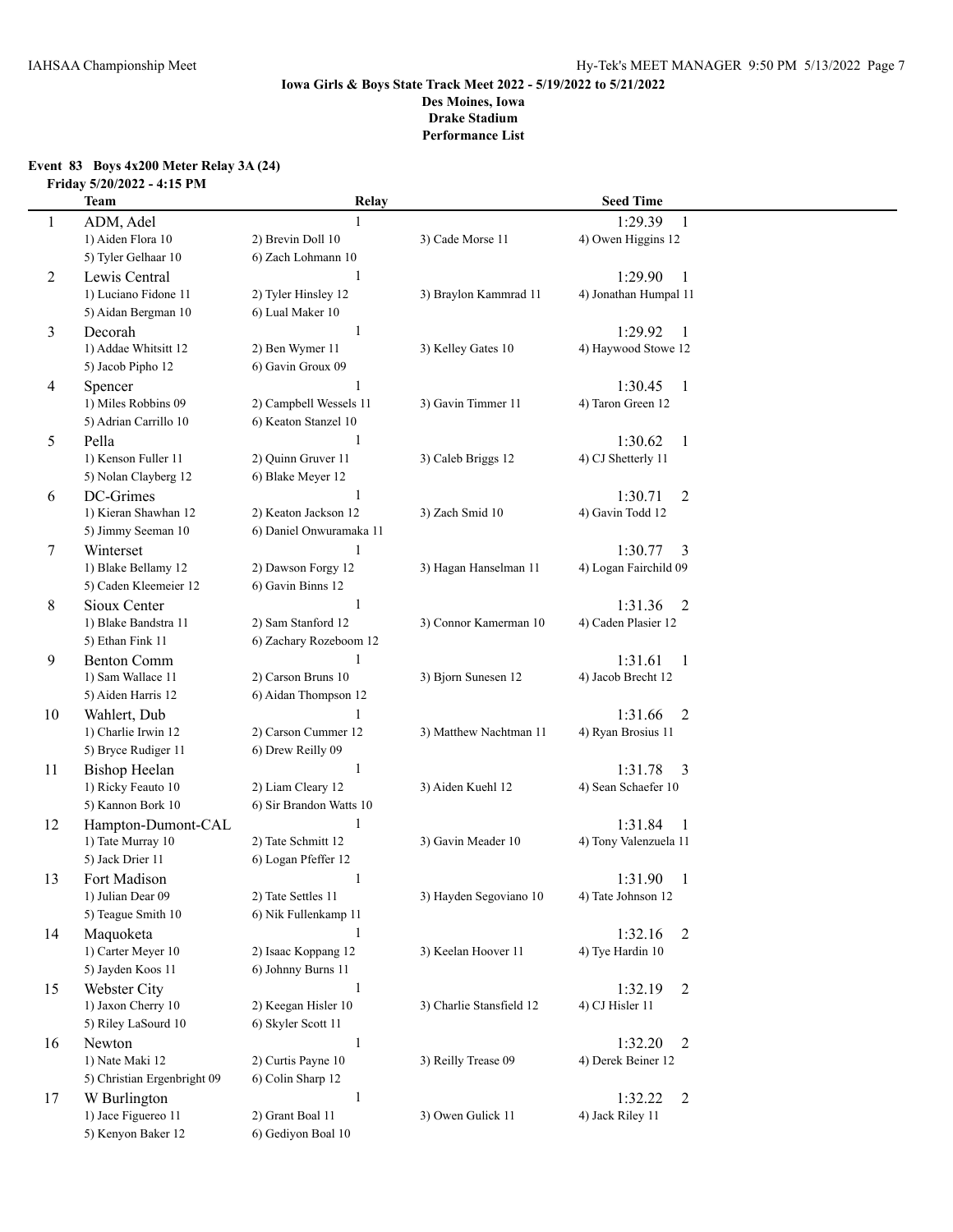#### **Event 83 Boys 4x200 Meter Relay 3A (24) Friday 5/20/2022 - 4:15 PM**

|    | <b>Team</b>                     | Relay                    |                          | <b>Seed Time</b>                   |  |
|----|---------------------------------|--------------------------|--------------------------|------------------------------------|--|
| 1  | ADM, Adel                       |                          |                          | 1:29.39<br>1                       |  |
|    | 1) Aiden Flora 10               | 2) Brevin Doll 10        | 3) Cade Morse 11         | 4) Owen Higgins 12                 |  |
|    | 5) Tyler Gelhaar 10             | 6) Zach Lohmann 10       |                          |                                    |  |
| 2  | Lewis Central                   | 1                        |                          | 1:29.90<br>1                       |  |
|    | 1) Luciano Fidone 11            | 2) Tyler Hinsley 12      | 3) Braylon Kammrad 11    | 4) Jonathan Humpal 11              |  |
|    | 5) Aidan Bergman 10             | 6) Lual Maker 10         |                          |                                    |  |
| 3  | Decorah                         | 1                        |                          | 1:29.92<br>1                       |  |
|    | 1) Addae Whitsitt 12            | 2) Ben Wymer 11          | 3) Kelley Gates 10       | 4) Haywood Stowe 12                |  |
|    | 5) Jacob Pipho 12               | 6) Gavin Groux 09        |                          |                                    |  |
| 4  | Spencer                         | 1                        |                          | 1:30.45<br>$\mathbf{1}$            |  |
|    | 1) Miles Robbins 09             | 2) Campbell Wessels 11   | 3) Gavin Timmer 11       | 4) Taron Green 12                  |  |
|    | 5) Adrian Carrillo 10           | 6) Keaton Stanzel 10     |                          |                                    |  |
| 5  | Pella                           | 1                        |                          | 1:30.62<br>$\mathbf{1}$            |  |
|    | 1) Kenson Fuller 11             | 2) Quinn Gruver 11       | 3) Caleb Briggs 12       | 4) CJ Shetterly 11                 |  |
|    | 5) Nolan Clayberg 12            | 6) Blake Meyer 12        |                          |                                    |  |
| 6  | DC-Grimes                       | 1                        |                          | $\overline{2}$<br>1:30.71          |  |
|    | 1) Kieran Shawhan 12            | 2) Keaton Jackson 12     | 3) Zach Smid 10          | 4) Gavin Todd 12                   |  |
|    | 5) Jimmy Seeman 10              | 6) Daniel Onwuramaka 11  |                          |                                    |  |
| 7  | Winterset                       | 1                        |                          | 1:30.77<br>3                       |  |
|    | 1) Blake Bellamy 12             | 2) Dawson Forgy 12       | 3) Hagan Hanselman 11    | 4) Logan Fairchild 09              |  |
|    | 5) Caden Kleemeier 12           | 6) Gavin Binns 12        |                          |                                    |  |
| 8  | Sioux Center                    | 1                        |                          | 1:31.36<br>2                       |  |
|    | 1) Blake Bandstra 11            | 2) Sam Stanford 12       | 3) Connor Kamerman 10    | 4) Caden Plasier 12                |  |
|    | 5) Ethan Fink 11                | 6) Zachary Rozeboom 12   |                          |                                    |  |
| 9  | <b>Benton Comm</b>              |                          |                          | 1:31.61<br>$\mathbf{1}$            |  |
|    | 1) Sam Wallace 11               | 2) Carson Bruns 10       | 3) Bjorn Sunesen 12      | 4) Jacob Brecht 12                 |  |
|    | 5) Aiden Harris 12              | 6) Aidan Thompson 12     |                          |                                    |  |
| 10 | Wahlert, Dub                    | 1                        |                          | 1:31.66<br>$\overline{2}$          |  |
|    | 1) Charlie Irwin 12             | 2) Carson Cummer 12      | 3) Matthew Nachtman 11   | 4) Ryan Brosius 11                 |  |
|    | 5) Bryce Rudiger 11             | 6) Drew Reilly 09        |                          |                                    |  |
| 11 | <b>Bishop Heelan</b>            | $\mathbf{1}$             |                          | 1:31.78<br>3                       |  |
|    | 1) Ricky Feauto 10              | 2) Liam Cleary 12        | 3) Aiden Kuehl 12        | 4) Sean Schaefer 10                |  |
|    | 5) Kannon Bork 10               | 6) Sir Brandon Watts 10  |                          |                                    |  |
| 12 | Hampton-Dumont-CAL              | $\mathbf{1}$             |                          | 1:31.84<br>$\mathbf{1}$            |  |
|    | 1) Tate Murray 10               | 2) Tate Schmitt 12       | 3) Gavin Meader 10       | 4) Tony Valenzuela 11              |  |
|    | 5) Jack Drier 11                | 6) Logan Pfeffer 12      |                          |                                    |  |
| 13 | Fort Madison                    | 1                        |                          | 1:31.90<br>1                       |  |
|    | 1) Julian Dear 09               | 2) Tate Settles 11       | 3) Hayden Segoviano 10   | 4) Tate Johnson 12                 |  |
|    | 5) Teague Smith 10              | 6) Nik Fullenkamp 11     |                          |                                    |  |
| 14 | Maquoketa<br>1) Carter Meyer 10 | 1<br>2) Isaac Koppang 12 | 3) Keelan Hoover 11      | 1:32.16<br>2<br>4) Tye Hardin 10   |  |
|    | 5) Jayden Koos 11               | 6) Johnny Burns 11       |                          |                                    |  |
|    | Webster City                    | 1                        |                          |                                    |  |
| 15 | 1) Jaxon Cherry 10              | 2) Keegan Hisler 10      | 3) Charlie Stansfield 12 | 1:32.19<br>2<br>4) CJ Hisler 11    |  |
|    | 5) Riley LaSourd 10             | 6) Skyler Scott 11       |                          |                                    |  |
|    |                                 | $\mathbf{1}$             |                          |                                    |  |
| 16 | Newton<br>1) Nate Maki 12       | 2) Curtis Payne 10       | 3) Reilly Trease 09      | 1:32.20<br>2<br>4) Derek Beiner 12 |  |
|    | 5) Christian Ergenbright 09     | 6) Colin Sharp 12        |                          |                                    |  |
| 17 | W Burlington                    | 1                        |                          | 1:32.22<br>2                       |  |
|    | 1) Jace Figuereo 11             | 2) Grant Boal 11         | 3) Owen Gulick 11        | 4) Jack Riley 11                   |  |
|    | 5) Kenyon Baker 12              | 6) Gediyon Boal 10       |                          |                                    |  |
|    |                                 |                          |                          |                                    |  |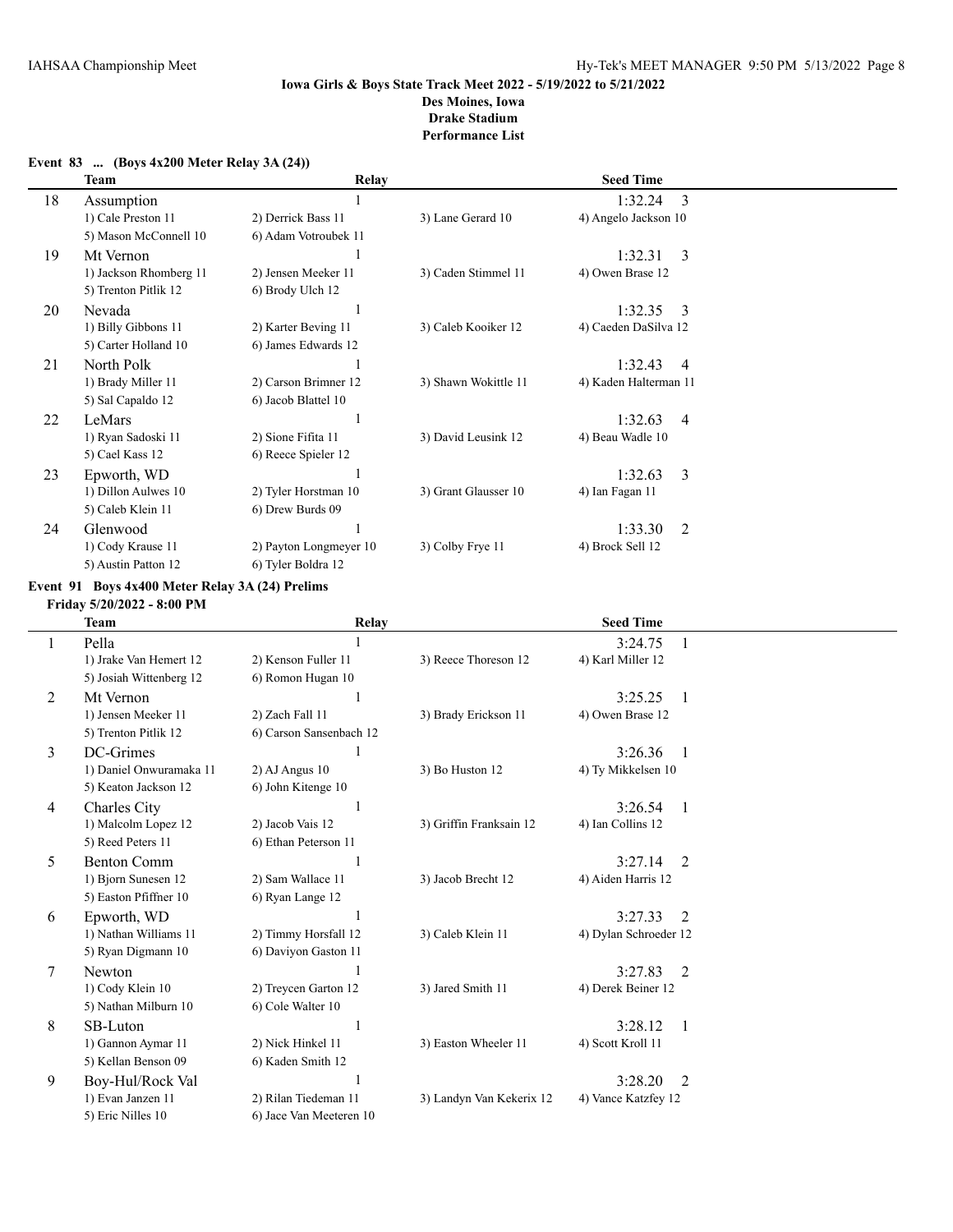|    | Team                   | Relay                  |                      | <b>Seed Time</b>          |
|----|------------------------|------------------------|----------------------|---------------------------|
| 18 | Assumption             |                        |                      | 3<br>1:32.24              |
|    | 1) Cale Preston 11     | 2) Derrick Bass 11     | 3) Lane Gerard 10    | 4) Angelo Jackson 10      |
|    | 5) Mason McConnell 10  | 6) Adam Votroubek 11   |                      |                           |
| 19 | Mt Vernon              |                        |                      | 1:32.31<br>3              |
|    | 1) Jackson Rhomberg 11 | 2) Jensen Meeker 11    | 3) Caden Stimmel 11  | 4) Owen Brase 12          |
|    | 5) Trenton Pitlik 12   | 6) Brody Ulch 12       |                      |                           |
| 20 | Nevada                 |                        |                      | 1:32.35<br>$\mathcal{E}$  |
|    | 1) Billy Gibbons 11    | 2) Karter Beving 11    | 3) Caleb Kooiker 12  | 4) Caeden DaSilva 12      |
|    | 5) Carter Holland 10   | 6) James Edwards 12    |                      |                           |
| 21 | North Polk             |                        |                      | 1:32.43<br>$\overline{4}$ |
|    | 1) Brady Miller 11     | 2) Carson Brimner 12   | 3) Shawn Wokittle 11 | 4) Kaden Halterman 11     |
|    | 5) Sal Capaldo 12      | 6) Jacob Blattel 10    |                      |                           |
| 22 | LeMars                 |                        |                      | 1:32.63<br>$\overline{4}$ |
|    | 1) Ryan Sadoski 11     | 2) Sione Fifita 11     | 3) David Leusink 12  | 4) Beau Wadle 10          |
|    | 5) Cael Kass 12        | 6) Reece Spieler 12    |                      |                           |
| 23 | Epworth, WD            |                        |                      | 3<br>1:32.63              |
|    | 1) Dillon Aulwes 10    | 2) Tyler Horstman 10   | 3) Grant Glausser 10 | 4) Ian Fagan 11           |
|    | 5) Caleb Klein 11      | 6) Drew Burds 09       |                      |                           |
| 24 | Glenwood               |                        |                      | 2<br>1:33.30              |
|    | 1) Cody Krause 11      | 2) Payton Longmeyer 10 | 3) Colby Frye 11     | 4) Brock Sell 12          |
|    | 5) Austin Patton 12    | 6) Tyler Boldra 12     |                      |                           |

#### **Event 83 ... (Boys 4x200 Meter Relay 3A (24))**

#### **Event 91 Boys 4x400 Meter Relay 3A (24) Prelims**

**Friday 5/20/2022 - 8:00 PM**

|                | <b>Team</b>             | <b>Relay</b>            |                          | <b>Seed Time</b>          |               |
|----------------|-------------------------|-------------------------|--------------------------|---------------------------|---------------|
|                | Pella                   |                         |                          | 3:24.75                   |               |
|                | 1) Jrake Van Hemert 12  | 2) Kenson Fuller 11     | 3) Reece Thoreson 12     | 4) Karl Miller 12         |               |
|                | 5) Josiah Wittenberg 12 | 6) Romon Hugan 10       |                          |                           |               |
| $\overline{2}$ | Mt Vernon               |                         |                          | 3:25.25<br>-1             |               |
|                | 1) Jensen Meeker 11     | 2) Zach Fall 11         | 3) Brady Erickson 11     | 4) Owen Brase 12          |               |
|                | 5) Trenton Pitlik 12    | 6) Carson Sansenbach 12 |                          |                           |               |
| 3              | DC-Grimes               |                         |                          | 3:26.36                   | -1            |
|                | 1) Daniel Onwuramaka 11 | $2)$ AJ Angus 10        | 3) Bo Huston 12          | 4) Ty Mikkelsen 10        |               |
|                | 5) Keaton Jackson 12    | 6) John Kitenge 10      |                          |                           |               |
| 4              | Charles City            |                         |                          | 3:26.54                   | -1            |
|                | 1) Malcolm Lopez 12     | 2) Jacob Vais 12        | 3) Griffin Franksain 12  | 4) Ian Collins 12         |               |
|                | 5) Reed Peters 11       | 6) Ethan Peterson 11    |                          |                           |               |
| 5              | <b>Benton Comm</b>      |                         |                          | 3:27.14                   | 2             |
|                | 1) Bjorn Sunesen 12     | 2) Sam Wallace 11       | 3) Jacob Brecht 12       | 4) Aiden Harris 12        |               |
|                | 5) Easton Pfiffner 10   | 6) Ryan Lange 12        |                          |                           |               |
| 6              | Epworth, WD             |                         |                          | 3:27.33                   | $\mathcal{L}$ |
|                | 1) Nathan Williams 11   | 2) Timmy Horsfall 12    | 3) Caleb Klein 11        | 4) Dylan Schroeder 12     |               |
|                | 5) Ryan Digmann 10      | 6) Daviyon Gaston 11    |                          |                           |               |
| 7              | Newton                  |                         |                          | 3:27.83                   | 2             |
|                | 1) Cody Klein 10        | 2) Treycen Garton 12    | 3) Jared Smith 11        | 4) Derek Beiner 12        |               |
|                | 5) Nathan Milburn 10    | 6) Cole Walter 10       |                          |                           |               |
| 8              | SB-Luton                |                         |                          | 3:28.12<br>$\overline{1}$ |               |
|                | 1) Gannon Aymar 11      | 2) Nick Hinkel 11       | 3) Easton Wheeler 11     | 4) Scott Kroll 11         |               |
|                | 5) Kellan Benson 09     | 6) Kaden Smith 12       |                          |                           |               |
| 9              | Boy-Hul/Rock Val        |                         |                          | 3:28.20                   | 2             |
|                | 1) Evan Janzen 11       | 2) Rilan Tiedeman 11    | 3) Landyn Van Kekerix 12 | 4) Vance Katzfey 12       |               |
|                | 5) Eric Nilles 10       | 6) Jace Van Meeteren 10 |                          |                           |               |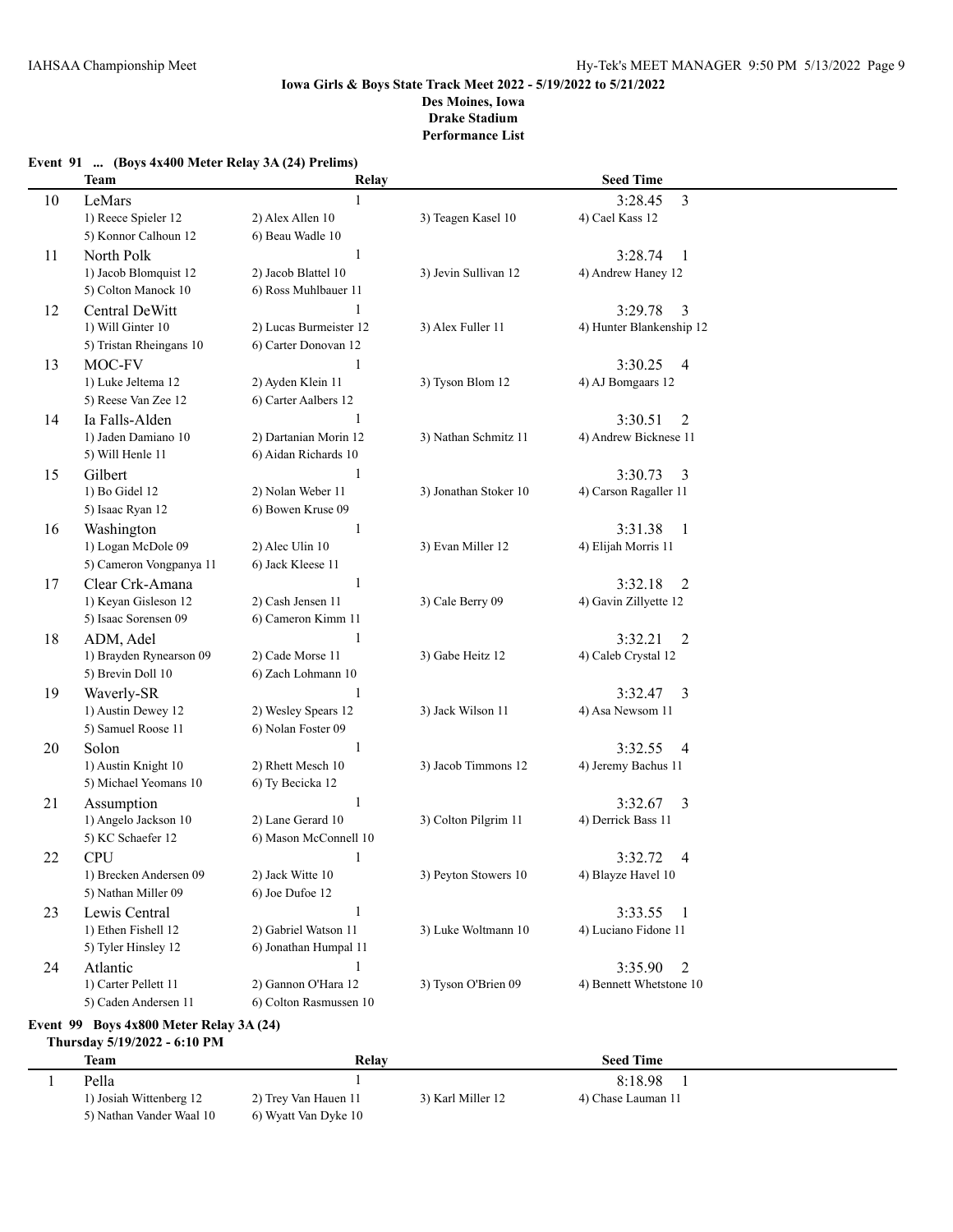|    | <b>Team</b>                                   | Relay                                      |                       | <b>Seed Time</b>                                  |  |  |
|----|-----------------------------------------------|--------------------------------------------|-----------------------|---------------------------------------------------|--|--|
| 10 | LeMars                                        |                                            |                       | $\overline{3}$<br>3:28.45                         |  |  |
|    | 1) Reece Spieler 12                           | 2) Alex Allen 10                           | 3) Teagen Kasel 10    | 4) Cael Kass 12                                   |  |  |
|    | 5) Konnor Calhoun 12                          | 6) Beau Wadle 10                           |                       |                                                   |  |  |
| 11 | North Polk                                    | 1                                          |                       | 3:28.74<br>-1                                     |  |  |
|    | 1) Jacob Blomquist 12                         | 2) Jacob Blattel 10                        | 3) Jevin Sullivan 12  | 4) Andrew Haney 12                                |  |  |
|    | 5) Colton Manock 10                           | 6) Ross Muhlbauer 11                       |                       |                                                   |  |  |
| 12 | Central DeWitt                                | 1                                          |                       | 3:29.78<br>3                                      |  |  |
|    | 1) Will Ginter 10                             | 2) Lucas Burmeister 12                     | 3) Alex Fuller 11     | 4) Hunter Blankenship 12                          |  |  |
|    | 5) Tristan Rheingans 10                       | 6) Carter Donovan 12                       |                       |                                                   |  |  |
| 13 | MOC-FV                                        |                                            |                       | 3:30.25<br>$\overline{4}$                         |  |  |
|    | 1) Luke Jeltema 12                            | 2) Ayden Klein 11                          | 3) Tyson Blom 12      | 4) AJ Bomgaars 12                                 |  |  |
|    | 5) Reese Van Zee 12                           | 6) Carter Aalbers 12                       |                       |                                                   |  |  |
| 14 | Ia Falls-Alden                                |                                            |                       | 3:30.51<br>2                                      |  |  |
|    | 1) Jaden Damiano 10                           | 2) Dartanian Morin 12                      | 3) Nathan Schmitz 11  | 4) Andrew Bicknese 11                             |  |  |
|    | 5) Will Henle 11                              | 6) Aidan Richards 10                       |                       |                                                   |  |  |
| 15 | Gilbert                                       |                                            |                       | 3:30.73<br>3                                      |  |  |
|    | 1) Bo Gidel 12                                | 2) Nolan Weber 11                          | 3) Jonathan Stoker 10 | 4) Carson Ragaller 11                             |  |  |
|    | 5) Isaac Ryan 12                              | 6) Bowen Kruse 09                          |                       |                                                   |  |  |
| 16 | Washington                                    | 1                                          |                       | 3:31.38<br>-1                                     |  |  |
|    | 1) Logan McDole 09                            | 2) Alec Ulin 10                            | 3) Evan Miller 12     | 4) Elijah Morris 11                               |  |  |
|    | 5) Cameron Vongpanya 11                       | 6) Jack Kleese 11                          |                       |                                                   |  |  |
| 17 | Clear Crk-Amana                               | 1                                          |                       | 3:32.18<br>$\overline{2}$                         |  |  |
|    | 1) Keyan Gisleson 12                          | 2) Cash Jensen 11                          | 3) Cale Berry 09      | 4) Gavin Zillyette 12                             |  |  |
|    | 5) Isaac Sorensen 09                          | 6) Cameron Kimm 11                         |                       |                                                   |  |  |
| 18 | ADM, Adel                                     | 1                                          |                       | 3:32.21<br>$\overline{2}$                         |  |  |
|    | 1) Brayden Rynearson 09                       | 2) Cade Morse 11                           | 3) Gabe Heitz 12      | 4) Caleb Crystal 12                               |  |  |
|    | 5) Brevin Doll 10                             | 6) Zach Lohmann 10                         |                       |                                                   |  |  |
| 19 | Waverly-SR                                    | $\mathbf{1}$                               |                       | 3:32.47<br>3                                      |  |  |
|    | 1) Austin Dewey 12                            | 2) Wesley Spears 12                        | 3) Jack Wilson 11     | 4) Asa Newsom 11                                  |  |  |
|    | 5) Samuel Roose 11                            | 6) Nolan Foster 09                         |                       |                                                   |  |  |
| 20 | Solon                                         | 1                                          |                       | 3:32.55<br>$\overline{4}$                         |  |  |
|    | 1) Austin Knight 10<br>5) Michael Yeomans 10  | 2) Rhett Mesch 10                          | 3) Jacob Timmons 12   | 4) Jeremy Bachus 11                               |  |  |
|    |                                               | 6) Ty Becicka 12                           |                       |                                                   |  |  |
| 21 | Assumption                                    | 1                                          |                       | 3:32.67<br>3                                      |  |  |
|    | 1) Angelo Jackson 10<br>5) KC Schaefer 12     | 2) Lane Gerard 10<br>6) Mason McConnell 10 | 3) Colton Pilgrim 11  | 4) Derrick Bass 11                                |  |  |
|    |                                               |                                            |                       |                                                   |  |  |
| 22 | <b>CPU</b>                                    | 2) Jack Witte 10                           |                       | 3:32.72<br>4                                      |  |  |
|    | 1) Brecken Andersen 09<br>5) Nathan Miller 09 | 6) Joe Dufoe 12                            | 3) Peyton Stowers 10  | 4) Blayze Havel 10                                |  |  |
|    | Lewis Central                                 | $\mathbf{1}$                               |                       |                                                   |  |  |
| 23 | 1) Ethen Fishell 12                           | 2) Gabriel Watson 11                       | 3) Luke Woltmann 10   | 3:33.55<br>$\overline{1}$<br>4) Luciano Fidone 11 |  |  |
|    | 5) Tyler Hinsley 12                           | 6) Jonathan Humpal 11                      |                       |                                                   |  |  |
|    | Atlantic                                      | 1                                          |                       | $\overline{2}$<br>3:35.90                         |  |  |
| 24 | 1) Carter Pellett 11                          | 2) Gannon O'Hara 12                        | 3) Tyson O'Brien 09   | 4) Bennett Whetstone 10                           |  |  |
|    | 5) Caden Andersen 11                          | 6) Colton Rasmussen 10                     |                       |                                                   |  |  |
|    |                                               |                                            |                       |                                                   |  |  |

#### **Event 91 ... (Boys 4x400 Meter Relay 3A (24) Prelims)**

**Event 99 Boys 4x800 Meter Relay 3A (24) Thursday 5/19/2022 - 6:10 PM**

| <b>Team</b>              | Relav                |                   | <b>Seed Time</b>   |  |
|--------------------------|----------------------|-------------------|--------------------|--|
| Pella                    |                      |                   | 8:18.98            |  |
| 1) Josiah Wittenberg 12  | 2) Trey Van Hauen 11 | 3) Karl Miller 12 | 4) Chase Lauman 11 |  |
| 5) Nathan Vander Waal 10 | 6) Wyatt Van Dyke 10 |                   |                    |  |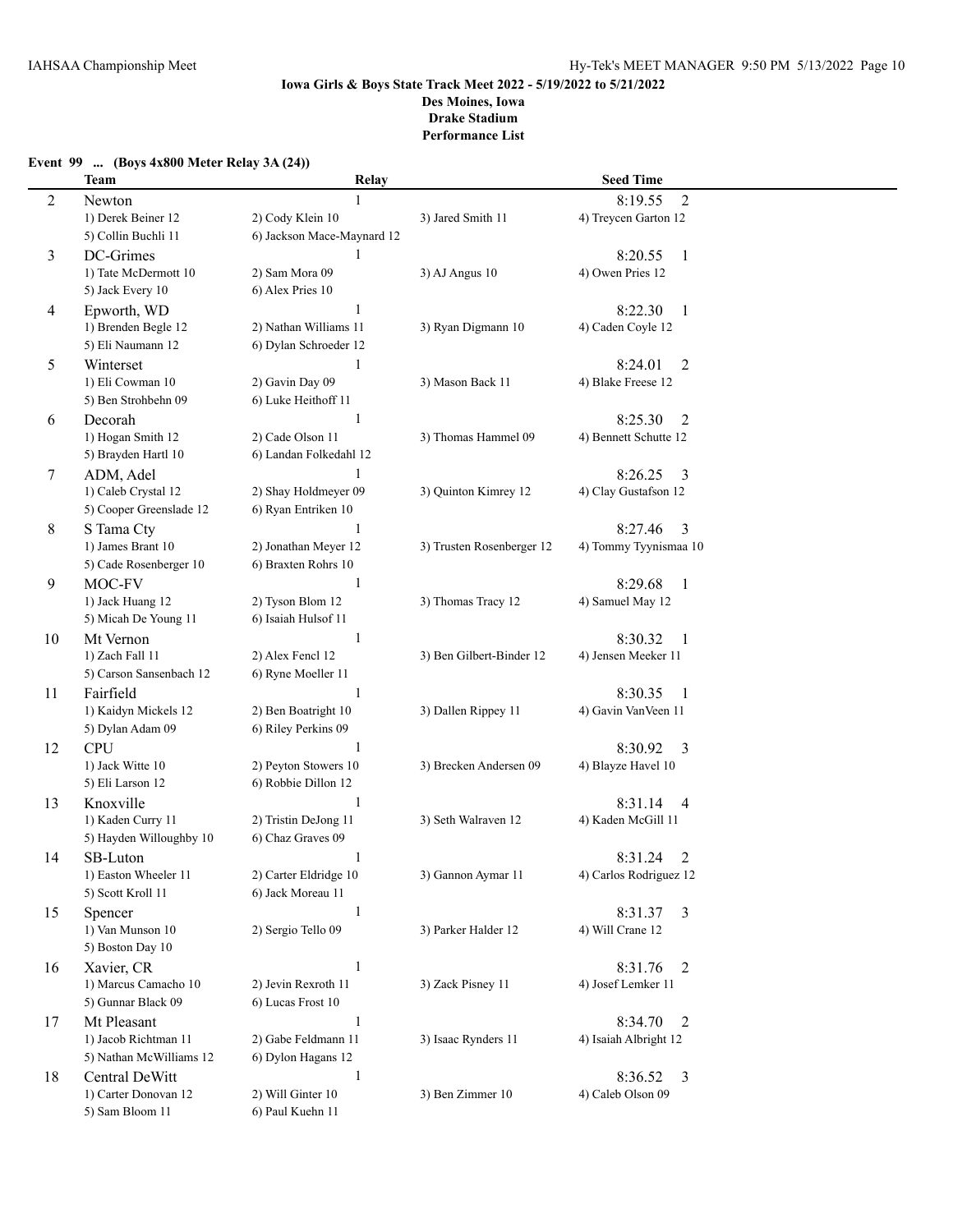#### **Event 99 ... (Boys 4x800 Meter Relay 3A (24))**

|    | <b>Team</b>             | Relay                      |                           | <b>Seed Time</b>                     |
|----|-------------------------|----------------------------|---------------------------|--------------------------------------|
| 2  | Newton                  |                            |                           | 8:19.55<br>$\overline{2}$            |
|    | 1) Derek Beiner 12      | 2) Cody Klein 10           | 3) Jared Smith 11         | 4) Treycen Garton 12                 |
|    | 5) Collin Buchli 11     | 6) Jackson Mace-Maynard 12 |                           |                                      |
| 3  | DC-Grimes               | $\mathbf{1}$               |                           | 8:20.55<br>$\mathbf{1}$              |
|    | 1) Tate McDermott 10    | 2) Sam Mora 09             | 3) AJ Angus 10            | 4) Owen Pries 12                     |
|    | 5) Jack Every 10        | 6) Alex Pries 10           |                           |                                      |
| 4  | Epworth, WD             | 1                          |                           | 8:22.30<br>$\overline{1}$            |
|    | 1) Brenden Begle 12     | 2) Nathan Williams 11      | 3) Ryan Digmann 10        | 4) Caden Coyle 12                    |
|    | 5) Eli Naumann 12       | 6) Dylan Schroeder 12      |                           |                                      |
|    | Winterset               | $\mathbf{1}$               |                           | 8:24.01                              |
| 5  | 1) Eli Cowman 10        | 2) Gavin Day 09            | 3) Mason Back 11          | $\overline{2}$<br>4) Blake Freese 12 |
|    | 5) Ben Strohbehn 09     | 6) Luke Heithoff 11        |                           |                                      |
|    |                         | 1                          |                           |                                      |
| 6  | Decorah                 |                            |                           | 8:25.30<br>2                         |
|    | 1) Hogan Smith 12       | 2) Cade Olson 11           | 3) Thomas Hammel 09       | 4) Bennett Schutte 12                |
|    | 5) Brayden Hartl 10     | 6) Landan Folkedahl 12     |                           |                                      |
| 7  | ADM, Adel               |                            |                           | 8:26.25<br>3                         |
|    | 1) Caleb Crystal 12     | 2) Shay Holdmeyer 09       | 3) Quinton Kimrey 12      | 4) Clay Gustafson 12                 |
|    | 5) Cooper Greenslade 12 | 6) Ryan Entriken 10        |                           |                                      |
| 8  | S Tama Cty              | 1                          |                           | 8:27.46<br>3                         |
|    | 1) James Brant 10       | 2) Jonathan Meyer 12       | 3) Trusten Rosenberger 12 | 4) Tommy Tyynismaa 10                |
|    | 5) Cade Rosenberger 10  | 6) Braxten Rohrs 10        |                           |                                      |
| 9  | MOC-FV                  | 1                          |                           | 8:29.68<br>$\mathbf{1}$              |
|    | 1) Jack Huang 12        | 2) Tyson Blom 12           | 3) Thomas Tracy 12        | 4) Samuel May 12                     |
|    | 5) Micah De Young 11    | 6) Isaiah Hulsof 11        |                           |                                      |
| 10 | Mt Vernon               | $\mathbf{1}$               |                           | 8:30.32<br>1                         |
|    | 1) Zach Fall 11         | 2) Alex Fencl 12           | 3) Ben Gilbert-Binder 12  | 4) Jensen Meeker 11                  |
|    | 5) Carson Sansenbach 12 | 6) Ryne Moeller 11         |                           |                                      |
| 11 | Fairfield               | $\mathbf{1}$               |                           | 8:30.35<br>$\mathbf{1}$              |
|    | 1) Kaidyn Mickels 12    | 2) Ben Boatright 10        | 3) Dallen Rippey 11       | 4) Gavin VanVeen 11                  |
|    | 5) Dylan Adam 09        | 6) Riley Perkins 09        |                           |                                      |
| 12 | <b>CPU</b>              | 1                          |                           | 8:30.92<br>3                         |
|    | 1) Jack Witte 10        | 2) Peyton Stowers 10       | 3) Brecken Andersen 09    | 4) Blayze Havel 10                   |
|    | 5) Eli Larson 12        | 6) Robbie Dillon 12        |                           |                                      |
| 13 | Knoxville               | 1                          |                           | 8:31.14<br>$\overline{4}$            |
|    | 1) Kaden Curry 11       | 2) Tristin DeJong 11       | 3) Seth Walraven 12       | 4) Kaden McGill 11                   |
|    | 5) Hayden Willoughby 10 | 6) Chaz Graves 09          |                           |                                      |
| 14 | SB-Luton                | 1                          |                           | 8:31.24<br>2                         |
|    | 1) Easton Wheeler 11    | 2) Carter Eldridge 10      | 3) Gannon Aymar 11        | 4) Carlos Rodriguez 12               |
|    | 5) Scott Kroll 11       | 6) Jack Moreau 11          |                           |                                      |
| 15 | Spencer                 | $\mathbf{1}$               |                           | 8:31.37<br>3                         |
|    | 1) Van Munson 10        | 2) Sergio Tello 09         | 3) Parker Halder 12       | 4) Will Crane 12                     |
|    | 5) Boston Day 10        |                            |                           |                                      |
| 16 | Xavier, CR              | $\mathbf{1}$               |                           | 8:31.76<br>2                         |
|    | 1) Marcus Camacho 10    | 2) Jevin Rexroth 11        | 3) Zack Pisney 11         | 4) Josef Lemker 11                   |
|    | 5) Gunnar Black 09      | 6) Lucas Frost 10          |                           |                                      |
| 17 | Mt Pleasant             | $\mathbf{1}$               |                           | 8:34.70<br>2                         |
|    | 1) Jacob Richtman 11    | 2) Gabe Feldmann 11        | 3) Isaac Rynders 11       | 4) Isaiah Albright 12                |
|    | 5) Nathan McWilliams 12 | 6) Dylon Hagans 12         |                           |                                      |
| 18 | Central DeWitt          | $\mathbf{1}$               |                           | 8:36.52<br>3                         |
|    | 1) Carter Donovan 12    | 2) Will Ginter 10          | 3) Ben Zimmer 10          | 4) Caleb Olson 09                    |
|    | 5) Sam Bloom 11         | 6) Paul Kuehn 11           |                           |                                      |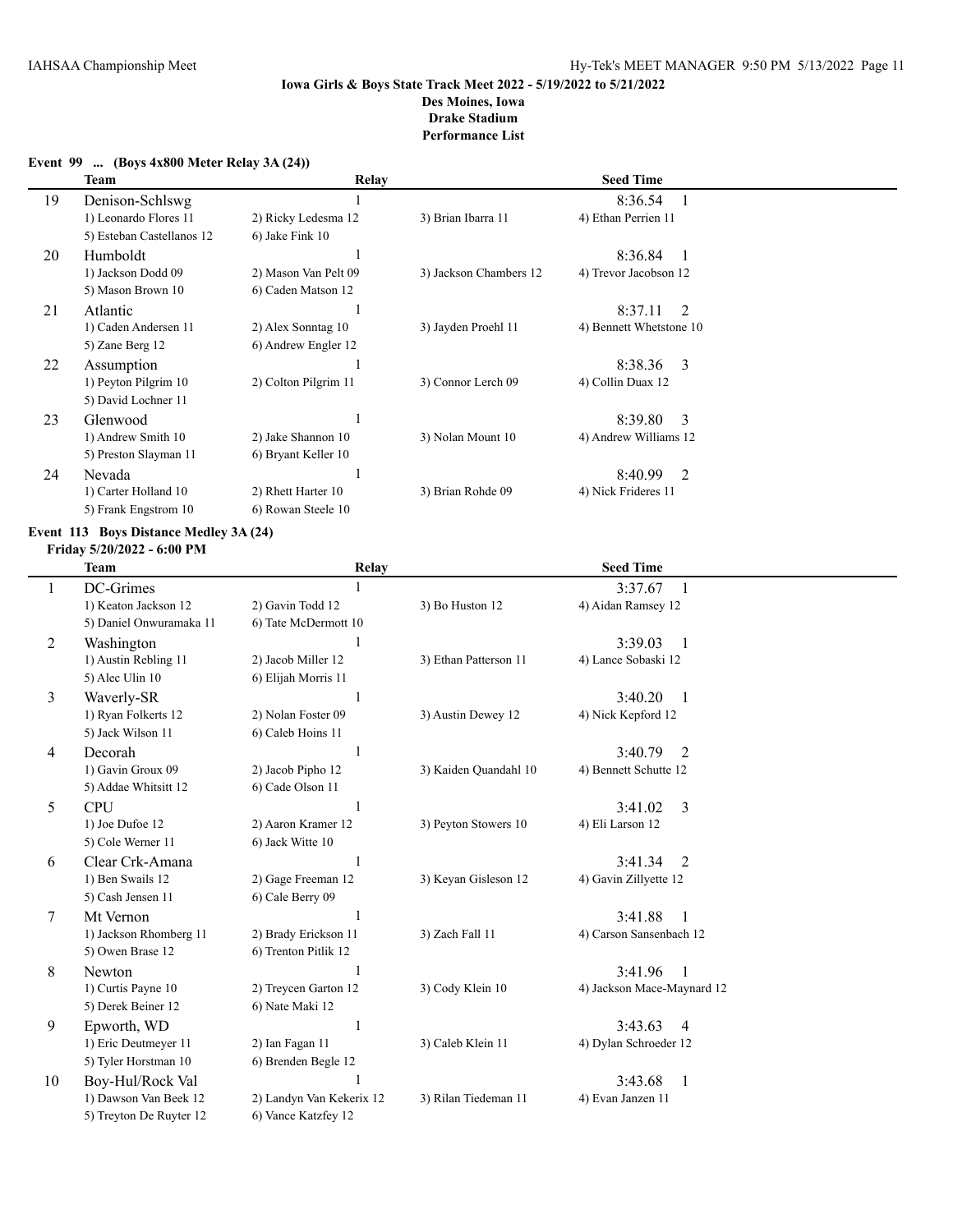## **Event 99 ... (Boys 4x800 Meter Relay 3A (24))**

|    | Team                      | Relay                |                        | <b>Seed Time</b>        |  |
|----|---------------------------|----------------------|------------------------|-------------------------|--|
| 19 | Denison-Schlswg           |                      |                        | 8:36.54                 |  |
|    | 1) Leonardo Flores 11     | 2) Ricky Ledesma 12  | 3) Brian Ibarra 11     | 4) Ethan Perrien 11     |  |
|    | 5) Esteban Castellanos 12 | 6) Jake Fink 10      |                        |                         |  |
| 20 | Humboldt                  |                      |                        | 8:36.84                 |  |
|    | 1) Jackson Dodd 09        | 2) Mason Van Pelt 09 | 3) Jackson Chambers 12 | 4) Trevor Jacobson 12   |  |
|    | 5) Mason Brown 10         | 6) Caden Matson 12   |                        |                         |  |
| 21 | Atlantic                  |                      |                        | 8:37.11<br>2            |  |
|    | 1) Caden Andersen 11      | 2) Alex Sonntag 10   | 3) Jayden Proehl 11    | 4) Bennett Whetstone 10 |  |
|    | 5) Zane Berg 12           | 6) Andrew Engler 12  |                        |                         |  |
| 22 | Assumption                |                      |                        | 8:38.36<br>-3           |  |
|    | 1) Peyton Pilgrim 10      | 2) Colton Pilgrim 11 | 3) Connor Lerch 09     | 4) Collin Duax 12       |  |
|    | 5) David Lochner 11       |                      |                        |                         |  |
| 23 | Glenwood                  |                      |                        | 8:39.80<br>3            |  |
|    | 1) Andrew Smith 10        | 2) Jake Shannon 10   | 3) Nolan Mount 10      | 4) Andrew Williams 12   |  |
|    | 5) Preston Slayman 11     | 6) Bryant Keller 10  |                        |                         |  |
| 24 | Nevada                    |                      |                        | 8:40.99<br>2            |  |
|    | 1) Carter Holland 10      | 2) Rhett Harter 10   | 3) Brian Rohde 09      | 4) Nick Frideres 11     |  |
|    | 5) Frank Engstrom 10      | 6) Rowan Steele 10   |                        |                         |  |

# **Event 113 Boys Distance Medley 3A (24)**

#### **Friday 5/20/2022 - 6:00 PM**

|    | <b>Team</b>             | Relay                    |                       | <b>Seed Time</b>                    |  |
|----|-------------------------|--------------------------|-----------------------|-------------------------------------|--|
| 1  | DC-Grimes               |                          |                       | 3:37.67<br>-1                       |  |
|    | 1) Keaton Jackson 12    | 2) Gavin Todd 12         | 3) Bo Huston 12       | 4) Aidan Ramsey 12                  |  |
|    | 5) Daniel Onwuramaka 11 | 6) Tate McDermott 10     |                       |                                     |  |
| 2  | Washington              |                          |                       | 3:39.03<br>$\mathbf{1}$             |  |
|    | 1) Austin Rebling 11    | 2) Jacob Miller 12       | 3) Ethan Patterson 11 | 4) Lance Sobaski 12                 |  |
|    | 5) Alec Ulin 10         | 6) Elijah Morris 11      |                       |                                     |  |
| 3  | Waverly-SR              |                          |                       | 3:40.20<br>$\overline{1}$           |  |
|    | 1) Ryan Folkerts 12     | 2) Nolan Foster 09       | 3) Austin Dewey 12    | 4) Nick Kepford 12                  |  |
|    | 5) Jack Wilson 11       | 6) Caleb Hoins 11        |                       |                                     |  |
| 4  | Decorah                 |                          |                       | 3:40.79<br>2                        |  |
|    | 1) Gavin Groux 09       | 2) Jacob Pipho 12        | 3) Kaiden Quandahl 10 | 4) Bennett Schutte 12               |  |
|    | 5) Addae Whitsitt 12    | 6) Cade Olson 11         |                       |                                     |  |
| 5  | <b>CPU</b>              |                          |                       | 3<br>3:41.02                        |  |
|    | 1) Joe Dufoe 12         | 2) Aaron Kramer 12       | 3) Peyton Stowers 10  | 4) Eli Larson 12                    |  |
|    | 5) Cole Werner 11       | 6) Jack Witte 10         |                       |                                     |  |
| 6  | Clear Crk-Amana         |                          |                       | 3:41.34<br>2                        |  |
|    | 1) Ben Swails 12        | 2) Gage Freeman 12       | 3) Keyan Gisleson 12  | 4) Gavin Zillyette 12               |  |
|    | 5) Cash Jensen 11       | 6) Cale Berry 09         |                       |                                     |  |
| 7  | Mt Vernon               |                          |                       | 3:41.88<br>$\overline{\phantom{0}}$ |  |
|    | 1) Jackson Rhomberg 11  | 2) Brady Erickson 11     | 3) Zach Fall 11       | 4) Carson Sansenbach 12             |  |
|    | 5) Owen Brase 12        | 6) Trenton Pitlik 12     |                       |                                     |  |
| 8  | Newton                  |                          |                       | 3:41.96<br>$\overline{1}$           |  |
|    | 1) Curtis Payne 10      | 2) Treycen Garton 12     | 3) Cody Klein 10      | 4) Jackson Mace-Maynard 12          |  |
|    | 5) Derek Beiner 12      | 6) Nate Maki 12          |                       |                                     |  |
| 9  | Epworth, WD             |                          |                       | 3:43.63<br>$\overline{4}$           |  |
|    | 1) Eric Deutmeyer 11    | 2) Ian Fagan 11          | 3) Caleb Klein 11     | 4) Dylan Schroeder 12               |  |
|    | 5) Tyler Horstman 10    | 6) Brenden Begle 12      |                       |                                     |  |
| 10 | Boy-Hul/Rock Val        |                          |                       | 3:43.68<br>1                        |  |
|    | 1) Dawson Van Beek 12   | 2) Landyn Van Kekerix 12 | 3) Rilan Tiedeman 11  | 4) Evan Janzen 11                   |  |
|    | 5) Treyton De Ruyter 12 | 6) Vance Katzfey 12      |                       |                                     |  |
|    |                         |                          |                       |                                     |  |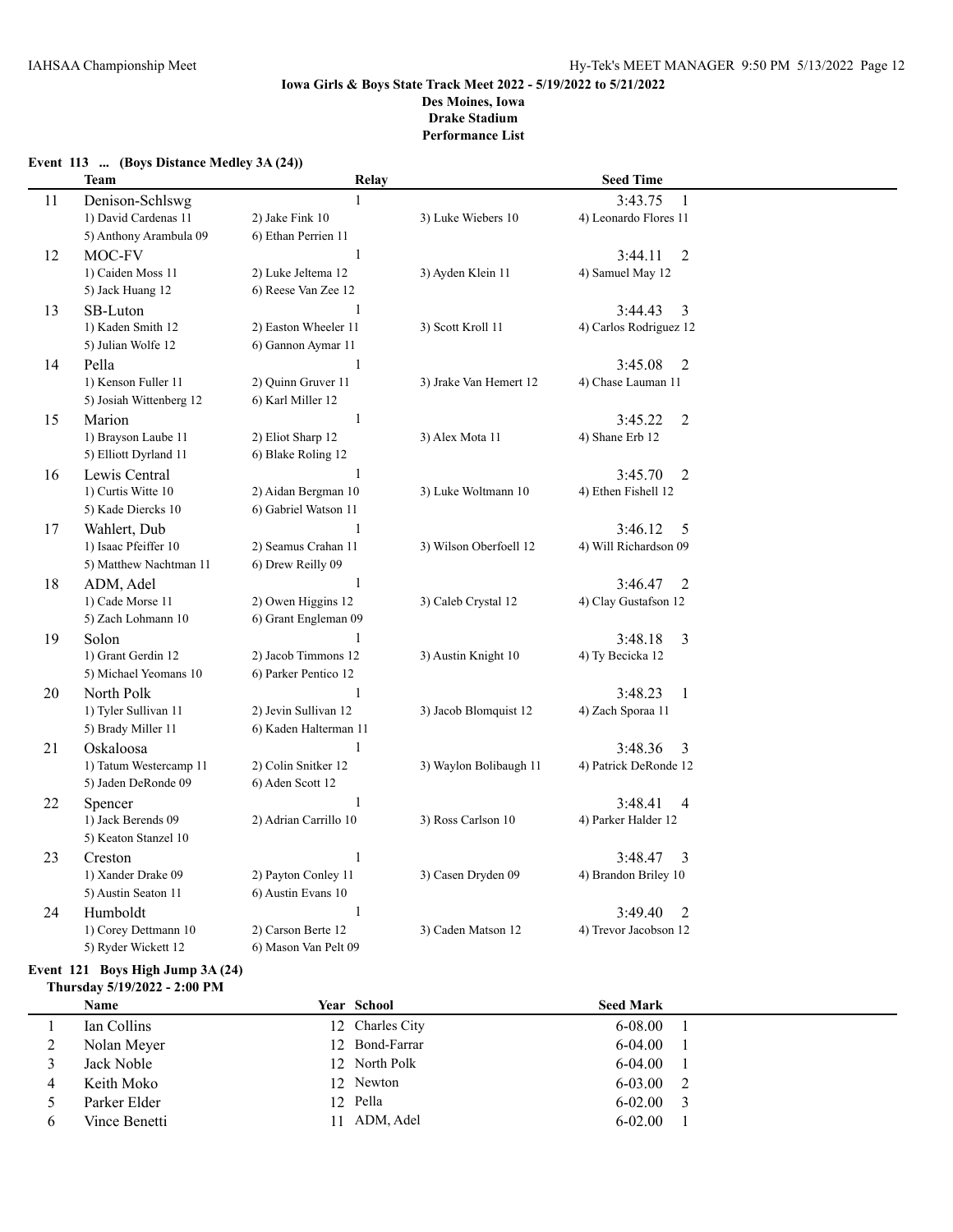**Event 113 ... (Boys Distance Medley 3A (24))**

#### **Iowa Girls & Boys State Track Meet 2022 - 5/19/2022 to 5/21/2022 Des Moines, Iowa Drake Stadium Performance List**

## **Team Relay Seed Time** 11 Denison-Schlswg 1 3:43.75 1 1) David Cardenas 11 2) Jake Fink 10 3) Luke Wiebers 10 4) Leonardo Flores 11 5) Anthony Arambula 09 6) Ethan Perrien 11 12 MOC-FV 1 3:44.11 2 1) Caiden Moss 11 2) Luke Jeltema 12 3) Ayden Klein 11 4) Samuel May 12 5) Jack Huang 12 6) Reese Van Zee 12 13 SB-Luton 1 3:44.43 3 1) Kaden Smith 12 2) Easton Wheeler 11 3) Scott Kroll 11 4) Carlos Rodriguez 12 5) Julian Wolfe 12 6) Gannon Aymar 11 14 Pella 2:45.08 2 1) Kenson Fuller 11 2) Quinn Gruver 11 3) Jrake Van Hemert 12 4) Chase Lauman 11 5) Josiah Wittenberg 12 6) Karl Miller 12 15 Marion 1 3:45.22 2 1) Brayson Laube 11 2) Eliot Sharp 12 3) Alex Mota 11 4) Shane Erb 12 5) Elliott Dyrland 11 6) Blake Roling 12 16 Lewis Central 1 3:45.70 2 1) Curtis Witte 10 2) Aidan Bergman 10 3) Luke Woltmann 10 4) Ethen Fishell 12 5) Kade Diercks 10 6) Gabriel Watson 11 17 Wahlert, Dub 1 3:46.12 5 1) Isaac Pfeiffer 10 2) Seamus Crahan 11 3) Wilson Oberfoell 12 4) Will Richardson 09 5) Matthew Nachtman 11 6) Drew Reilly 09 18 ADM, Adel 1 3:46.47 2 1) Cade Morse 11 2) Owen Higgins 12 3) Caleb Crystal 12 4) Clay Gustafson 12 5) Zach Lohmann 10 6) Grant Engleman 09 19 Solon 1 3:48.18 3 1) Grant Gerdin 12 2) Jacob Timmons 12 3) Austin Knight 10 4) Ty Becicka 12 5) Michael Yeomans 10 6) Parker Pentico 12 20 North Polk 1 3:48.23 1 1) Tyler Sullivan 11 2) Jevin Sullivan 12 3) Jacob Blomquist 12 4) Zach Sporaa 11 5) Brady Miller 11 6) Kaden Halterman 11 21 Oskaloosa 1 3:48.36 3 1) Tatum Westercamp 11 2) Colin Snitker 12 3) Waylon Bolibaugh 11 4) Patrick DeRonde 12 5) Jaden DeRonde 09 6) Aden Scott 12 22 Spencer 1 3:48.41 4 1) Jack Berends 09 2) Adrian Carrillo 10 3) Ross Carlson 10 4) Parker Halder 12 5) Keaton Stanzel 10 23 Creston 1 3:48.47 3 1) Xander Drake 09 2) Payton Conley 11 3) Casen Dryden 09 4) Brandon Briley 10 5) Austin Seaton 11 6) Austin Evans 10 24 Humboldt 1 3:49.40 2 1) Corey Dettmann 10 2) Carson Berte 12 3) Caden Matson 12 4) Trevor Jacobson 12 5) Ryder Wickett 12 6) Mason Van Pelt 09

## **Event 121 Boys High Jump 3A (24)**

**Thursday 5/19/2022 - 2:00 PM**

|   | Name          | <b>Year School</b> | <b>Seed Mark</b> |  |
|---|---------------|--------------------|------------------|--|
|   | Ian Collins   | 12 Charles City    | $6 - 08.00$      |  |
| ∠ | Nolan Meyer   | 12 Bond-Farrar     | $6-04.00$        |  |
|   | Jack Noble    | 12 North Polk      | $6 - 04.00$      |  |
| 4 | Keith Moko    | 12 Newton          | 6-03.00          |  |
|   | Parker Elder  | 12 Pella           | $6 - 02.00$      |  |
|   | Vince Benetti | 11 ADM, Adel       | $6 - 02.00$      |  |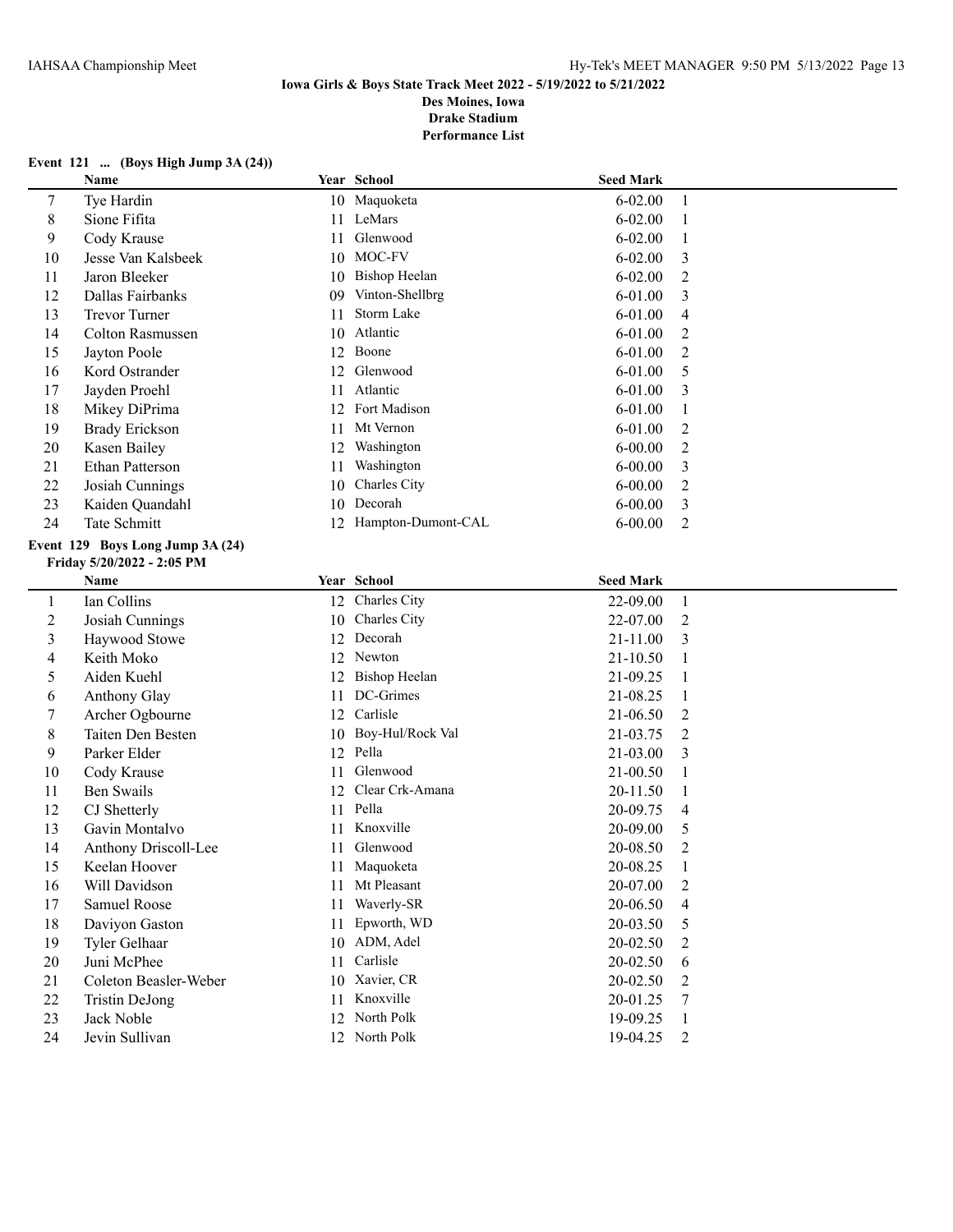## **Event 121 ... (Boys High Jump 3A (24))**

|                          | Name                             |    | Year School           | <b>Seed Mark</b> |                |
|--------------------------|----------------------------------|----|-----------------------|------------------|----------------|
| 7                        | Tye Hardin                       |    | 10 Maquoketa          | $6 - 02.00$      | 1              |
| 8                        | Sione Fifita                     | 11 | LeMars                | $6 - 02.00$      | 1              |
| 9                        | Cody Krause                      | 11 | Glenwood              | $6 - 02.00$      | 1              |
| 10                       | Jesse Van Kalsbeek               | 10 | MOC-FV                | $6 - 02.00$      | 3              |
| 11                       | Jaron Bleeker                    |    | 10 Bishop Heelan      | $6 - 02.00$      | 2              |
| 12                       | Dallas Fairbanks                 | 09 | Vinton-Shellbrg       | 6-01.00          | 3              |
| 13                       | <b>Trevor Turner</b>             | 11 | Storm Lake            | 6-01.00          | 4              |
| 14                       | <b>Colton Rasmussen</b>          |    | 10 Atlantic           | $6 - 01.00$      | 2              |
| 15                       | Jayton Poole                     |    | 12 Boone              | $6 - 01.00$      | 2              |
| 16                       | Kord Ostrander                   |    | 12 Glenwood           | 6-01.00          | 5              |
| 17                       | Jayden Proehl                    |    | 11 Atlantic           | 6-01.00          | 3              |
| 18                       | Mikey DiPrima                    |    | 12 Fort Madison       | $6 - 01.00$      | 1              |
| 19                       | <b>Brady Erickson</b>            | 11 | Mt Vernon             | $6 - 01.00$      | 2              |
| 20                       | Kasen Bailey                     | 12 | Washington            | $6 - 00.00$      | $\overline{2}$ |
| 21                       | Ethan Patterson                  | 11 | Washington            | $6 - 00.00$      | 3              |
| 22                       | Josiah Cunnings                  | 10 | Charles City          | $6 - 00.00$      | $\overline{c}$ |
| 23                       | Kaiden Quandahl                  |    | 10 Decorah            | $6 - 00.00$      | 3              |
| 24                       | Tate Schmitt                     |    | 12 Hampton-Dumont-CAL | $6 - 00.00$      | $\overline{2}$ |
|                          | Event 129 Boys Long Jump 3A (24) |    |                       |                  |                |
|                          | Friday 5/20/2022 - 2:05 PM       |    |                       |                  |                |
|                          | Name                             |    | Year School           | <b>Seed Mark</b> |                |
| $\mathbf{1}$             | Ian Collins                      |    | 12 Charles City       | 22-09.00         | 1              |
| $\overline{c}$           | Josiah Cunnings                  | 10 | Charles City          | 22-07.00         | 2              |
| 3                        | Haywood Stowe                    | 12 | Decorah               | 21-11.00         | 3              |
| $\overline{\mathcal{L}}$ | Keith Moko                       | 12 | Newton                | 21-10.50         | 1              |
| 5                        | Aiden Kuehl                      | 12 | <b>Bishop Heelan</b>  | 21-09.25         | 1              |
| 6                        | Anthony Glay                     | 11 | DC-Grimes             | 21-08.25         | 1              |
| 7                        | Archer Ogbourne                  | 12 | Carlisle              | 21-06.50         | 2              |
| 8                        | Taiten Den Besten                |    | 10 Boy-Hul/Rock Val   | 21-03.75         | $\overline{2}$ |
| 9                        | Parker Elder                     |    | 12 Pella              | 21-03.00         | 3              |
| 10                       | Cody Krause                      | 11 | Glenwood              | 21-00.50         | 1              |
| 11                       | <b>Ben Swails</b>                | 12 | Clear Crk-Amana       | 20-11.50         | 1              |
| 12                       | CJ Shetterly                     |    | 11 Pella              | 20-09.75         | 4              |
| 13                       | Gavin Montalvo                   |    | 11 Knoxville          | 20-09.00         | 5              |
| 14                       | Anthony Driscoll-Lee             |    | 11 Glenwood           | 20-08.50         | 2              |
| 15                       | Keelan Hoover                    |    | 11 Maquoketa          | 20-08.25         |                |
| 16                       | Will Davidson                    |    | 11 Mt Pleasant        | 20-07.00         | 2              |
| 17                       | Samuel Roose                     |    | 11 Waverly-SR         | 20-06.50         | 4              |
| 18                       | Daviyon Gaston                   | 11 | Epworth, WD           | 20-03.50         | 5              |
| 19                       | Tyler Gelhaar                    |    | 10 ADM, Adel          | 20-02.50         | 2              |
| 20                       | Juni McPhee                      | 11 | Carlisle              | 20-02.50         | 6              |
| 21                       | Coleton Beasler-Weber            |    | 10 Xavier, CR         | 20-02.50         | 2              |
| 22                       | <b>Tristin DeJong</b>            |    | 11 Knoxville          | 20-01.25         | 7              |
| 23                       | Jack Noble                       |    | 12 North Polk         | 19-09.25         | 1              |
| 24                       | Jevin Sullivan                   |    | 12 North Polk         | 19-04.25         | 2              |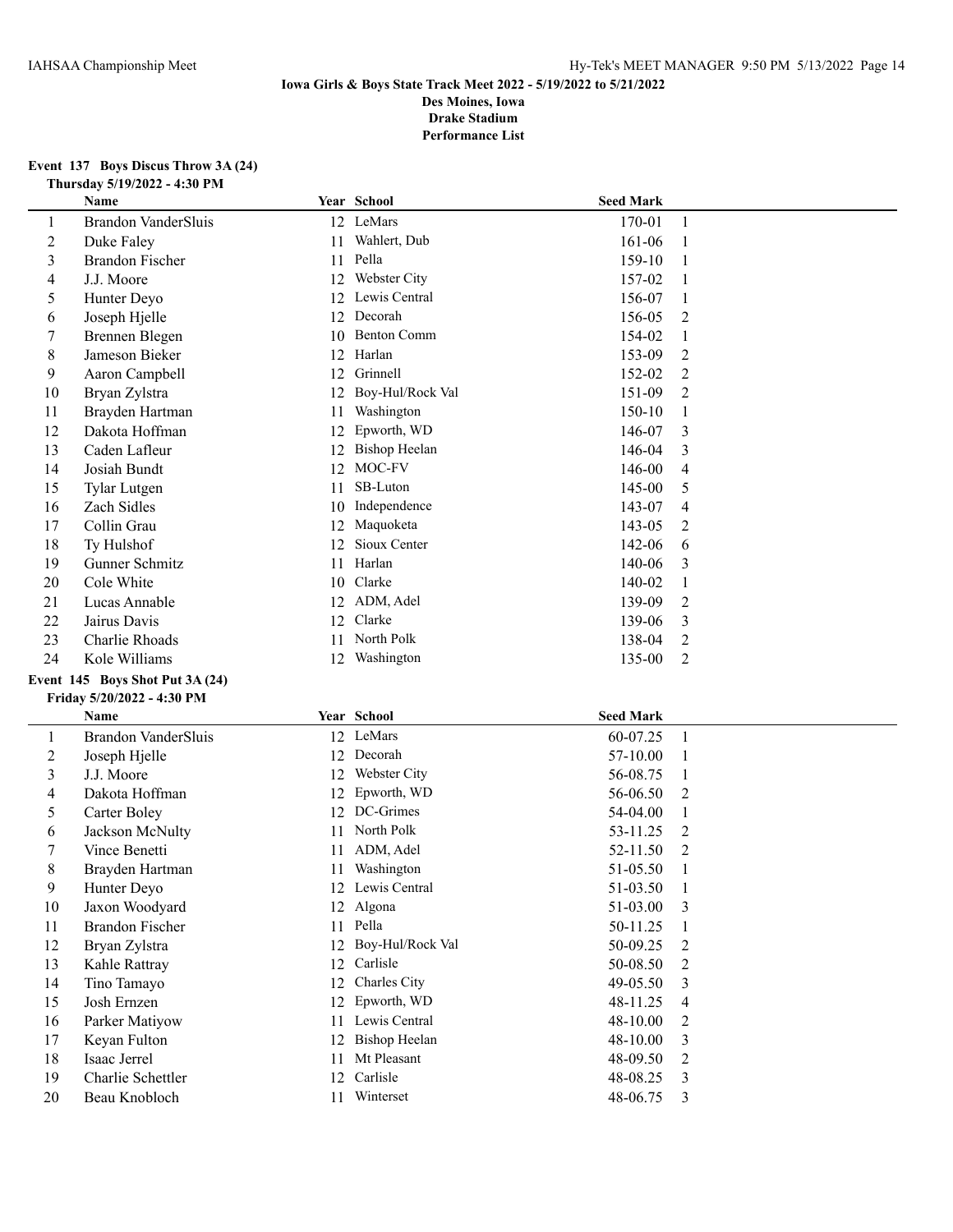## **Event 137 Boys Discus Throw 3A (24) Thursday 5/19/2022 - 4:30 PM**

|                         | <b>Name</b>                     |    | Year School          | <b>Seed Mark</b> |                |
|-------------------------|---------------------------------|----|----------------------|------------------|----------------|
| 1                       | <b>Brandon VanderSluis</b>      |    | 12 LeMars            | 170-01           | $\mathbf{1}$   |
| $\overline{c}$          | Duke Faley                      | 11 | Wahlert, Dub         | 161-06           | 1              |
| 3                       | <b>Brandon Fischer</b>          | 11 | Pella                | 159-10           | 1              |
| $\overline{4}$          | J.J. Moore                      | 12 | Webster City         | 157-02           | 1              |
| 5                       | Hunter Deyo                     | 12 | Lewis Central        | 156-07           | $\mathbf{1}$   |
| 6                       | Joseph Hjelle                   | 12 | Decorah              | 156-05           | 2              |
| $\tau$                  | Brennen Blegen                  | 10 | <b>Benton Comm</b>   | 154-02           | $\mathbf{1}$   |
| $\,$ 8 $\,$             | Jameson Bieker                  | 12 | Harlan               | 153-09           | 2              |
| 9                       | Aaron Campbell                  | 12 | Grinnell             | 152-02           | 2              |
| 10                      | Bryan Zylstra                   | 12 | Boy-Hul/Rock Val     | 151-09           | 2              |
| 11                      | Brayden Hartman                 | 11 | Washington           | 150-10           | 1              |
| 12                      | Dakota Hoffman                  | 12 | Epworth, WD          | 146-07           | 3              |
| 13                      | Caden Lafleur                   |    | 12 Bishop Heelan     | 146-04           | 3              |
| 14                      | Josiah Bundt                    |    | 12 MOC-FV            | 146-00           | 4              |
| 15                      | <b>Tylar Lutgen</b>             | 11 | SB-Luton             | 145-00           | 5              |
| 16                      | Zach Sidles                     | 10 | Independence         | 143-07           | 4              |
| 17                      | Collin Grau                     | 12 | Maquoketa            | 143-05           | 2              |
| 18                      | Ty Hulshof                      | 12 | Sioux Center         | 142-06           | 6              |
| 19                      | Gunner Schmitz                  | 11 | Harlan               | 140-06           | 3              |
| 20                      | Cole White                      |    | 10 Clarke            | 140-02           | $\mathbf{1}$   |
| 21                      | Lucas Annable                   |    | 12 ADM, Adel         | 139-09           | $\overline{c}$ |
| 22                      | Jairus Davis                    | 12 | Clarke               | 139-06           | 3              |
| 23                      | Charlie Rhoads                  | 11 | North Polk           | 138-04           | $\overline{2}$ |
| 24                      | Kole Williams                   |    | 12 Washington        | 135-00           | 2              |
|                         | Event 145 Boys Shot Put 3A (24) |    |                      |                  |                |
|                         | Friday 5/20/2022 - 4:30 PM      |    |                      |                  |                |
|                         | Name                            |    | Year School          | <b>Seed Mark</b> |                |
| $\mathbf{1}$            | <b>Brandon VanderSluis</b>      |    | 12 LeMars            | 60-07.25         | $\mathbf{1}$   |
| $\sqrt{2}$              | Joseph Hjelle                   | 12 | Decorah              | 57-10.00         | 1              |
| $\overline{\mathbf{3}}$ | J.J. Moore                      | 12 | Webster City         | 56-08.75         | $\mathbf{1}$   |
| 4                       | Dakota Hoffman                  | 12 | Epworth, WD          | 56-06.50         | 2              |
| 5                       | Carter Boley                    | 12 | DC-Grimes            | 54-04.00         | $\mathbf{1}$   |
| 6                       | Jackson McNulty                 | 11 | North Polk           | 53-11.25         | 2              |
| $\tau$                  | Vince Benetti                   | 11 | ADM, Adel            | 52-11.50         | 2              |
| $\,8\,$                 | Brayden Hartman                 |    | 11 Washington        | 51-05.50         | 1              |
| 9                       | Hunter Deyo                     |    | 12 Lewis Central     | 51-03.50         |                |
| 10                      | Jaxon Woodyard                  |    | 12 Algona            | 51-03.00         | 3              |
| 11                      | <b>Brandon Fischer</b>          |    | 11 Pella             | 50-11.25         |                |
| 12                      | Bryan Zylstra                   |    | 12 Boy-Hul/Rock Val  | 50-09.25         | 2              |
| 13                      | Kahle Rattray                   |    | 12 Carlisle          | 50-08.50         | 2              |
| 14                      | Tino Tamayo                     |    | 12 Charles City      | 49-05.50         | 3              |
| 15                      | Josh Ernzen                     |    | 12 Epworth, WD       | 48-11.25         | 4              |
| 16                      | Parker Matiyow                  |    | 11 Lewis Central     | 48-10.00         | 2              |
| 17                      | Keyan Fulton                    | 12 | <b>Bishop Heelan</b> | 48-10.00         | 3              |
| 18                      | Isaac Jerrel                    | 11 | Mt Pleasant          | 48-09.50         | 2              |
| 19                      | Charlie Schettler               |    | 12 Carlisle          | 48-08.25         | 3              |
| 20                      | Beau Knobloch                   |    | 11 Winterset         | 48-06.75         | 3              |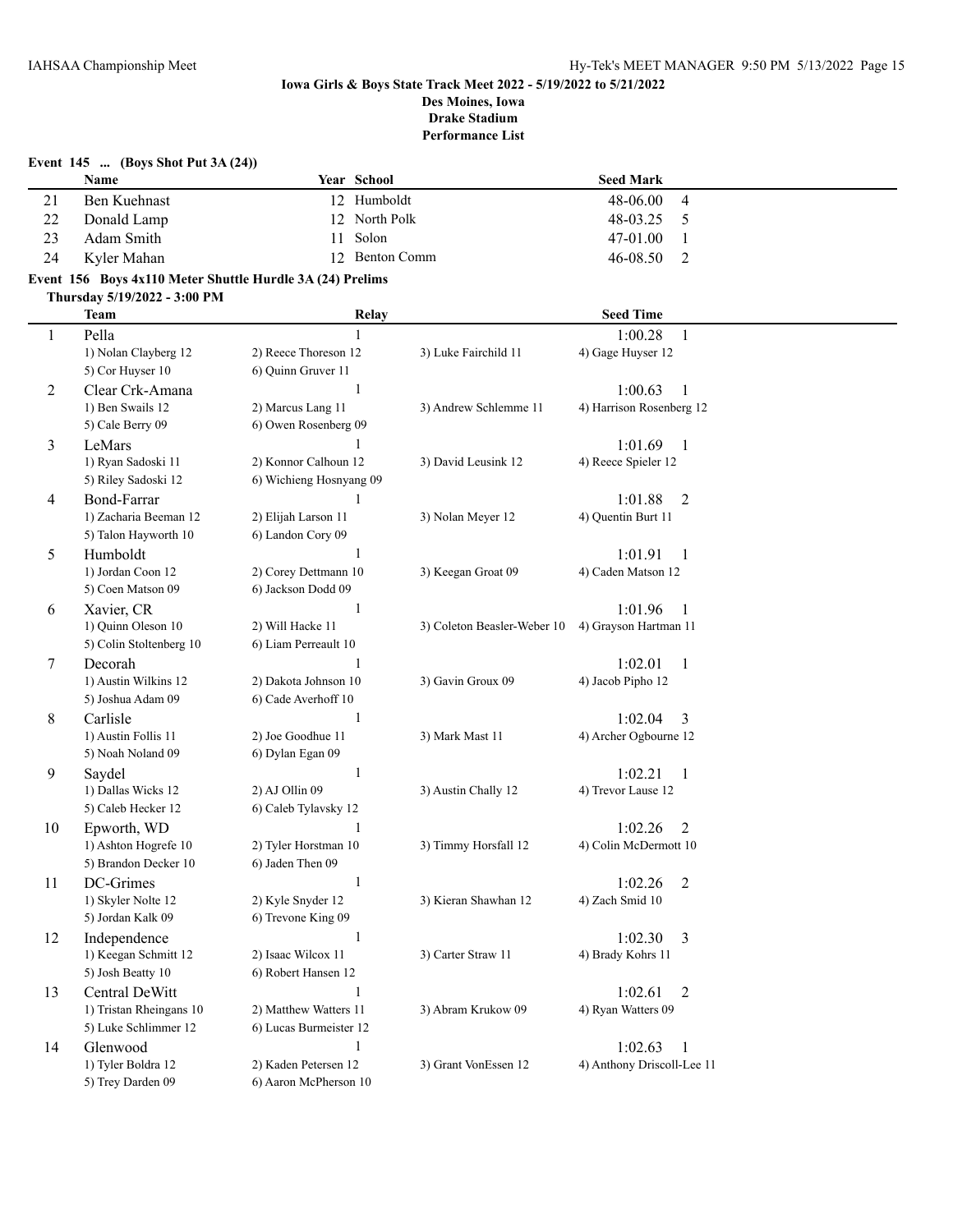| Event $145$ (Boys Shot Put 3A $(24)$ ) |              |  |                |                  |   |  |
|----------------------------------------|--------------|--|----------------|------------------|---|--|
|                                        | <b>Name</b>  |  | Year School    | <b>Seed Mark</b> |   |  |
|                                        | Ben Kuehnast |  | 12 Humboldt    | 48-06.00         | 4 |  |
| 22                                     | Donald Lamp  |  | 12 North Polk  | 48-03.25         |   |  |
| 23                                     | Adam Smith   |  | 11 Solon       | 47-01.00         |   |  |
| 24                                     | Kyler Mahan  |  | 12 Benton Comm | $46 - 08.50$     |   |  |

# **Event 156 Boys 4x110 Meter Shuttle Hurdle 3A (24) Prelims**

**Thursday 5/19/2022 - 3:00 PM**

|              | <b>Team</b>             | Relay                   |                             | <b>Seed Time</b>           |  |
|--------------|-------------------------|-------------------------|-----------------------------|----------------------------|--|
| $\mathbf{1}$ | Pella                   | $\mathbf{1}$            |                             | 1:00.28<br>$\mathbf{1}$    |  |
|              | 1) Nolan Clayberg 12    | 2) Reece Thoreson 12    | 3) Luke Fairchild 11        | 4) Gage Huyser 12          |  |
|              | 5) Cor Huyser 10        | 6) Quinn Gruver 11      |                             |                            |  |
| 2            | Clear Crk-Amana         | $\,1\,$                 |                             | 1:00.63<br>-1              |  |
|              | 1) Ben Swails 12        | 2) Marcus Lang 11       | 3) Andrew Schlemme 11       | 4) Harrison Rosenberg 12   |  |
|              | 5) Cale Berry 09        | 6) Owen Rosenberg 09    |                             |                            |  |
| 3            | LeMars                  |                         |                             | 1:01.69<br>$\mathbf{1}$    |  |
|              | 1) Ryan Sadoski 11      | 2) Konnor Calhoun 12    | 3) David Leusink 12         | 4) Reece Spieler 12        |  |
|              | 5) Riley Sadoski 12     | 6) Wichieng Hosnyang 09 |                             |                            |  |
| 4            | Bond-Farrar             | 1                       |                             | 1:01.88<br>$\overline{2}$  |  |
|              | 1) Zacharia Beeman 12   | 2) Elijah Larson 11     | 3) Nolan Meyer 12           | 4) Quentin Burt 11         |  |
|              | 5) Talon Hayworth 10    | 6) Landon Cory 09       |                             |                            |  |
| 5            | Humboldt                | 1                       |                             | 1:01.91<br>1               |  |
|              | 1) Jordan Coon 12       | 2) Corey Dettmann 10    | 3) Keegan Groat 09          | 4) Caden Matson 12         |  |
|              | 5) Coen Matson 09       | 6) Jackson Dodd 09      |                             |                            |  |
| 6            | Xavier, CR              | $\mathbf{1}$            |                             | 1:01.96<br>1               |  |
|              | 1) Quinn Oleson 10      | 2) Will Hacke 11        | 3) Coleton Beasler-Weber 10 | 4) Grayson Hartman 11      |  |
|              | 5) Colin Stoltenberg 10 | 6) Liam Perreault 10    |                             |                            |  |
| 7            | Decorah                 | $\mathbf{1}$            |                             | 1:02.01<br>$\mathbf{1}$    |  |
|              | 1) Austin Wilkins 12    | 2) Dakota Johnson 10    | 3) Gavin Groux 09           | 4) Jacob Pipho 12          |  |
|              | 5) Joshua Adam 09       | 6) Cade Averhoff 10     |                             |                            |  |
| 8            | Carlisle                | $\mathbf{1}$            |                             | 1:02.04<br>3               |  |
|              | 1) Austin Follis 11     | 2) Joe Goodhue 11       | 3) Mark Mast 11             | 4) Archer Ogbourne 12      |  |
|              | 5) Noah Noland 09       | 6) Dylan Egan 09        |                             |                            |  |
| 9            | Saydel                  | $\mathbf{1}$            |                             | 1:02.21<br>$\mathbf{1}$    |  |
|              | 1) Dallas Wicks 12      | 2) AJ Ollin 09          | 3) Austin Chally 12         | 4) Trevor Lause 12         |  |
|              | 5) Caleb Hecker 12      | 6) Caleb Tylavsky 12    |                             |                            |  |
| 10           | Epworth, WD             | $\mathbf{1}$            |                             | 1:02.26<br>$\overline{2}$  |  |
|              | 1) Ashton Hogrefe 10    | 2) Tyler Horstman 10    | 3) Timmy Horsfall 12        | 4) Colin McDermott 10      |  |
|              | 5) Brandon Decker 10    | 6) Jaden Then 09        |                             |                            |  |
| 11           | DC-Grimes               | $\mathbf{1}$            |                             | 1:02.26<br>$\overline{2}$  |  |
|              | 1) Skyler Nolte 12      | 2) Kyle Snyder 12       | 3) Kieran Shawhan 12        | 4) Zach Smid 10            |  |
|              | 5) Jordan Kalk 09       | 6) Trevone King 09      |                             |                            |  |
| 12           | Independence            | $\mathbf{1}$            |                             | 1:02.30<br>3               |  |
|              | 1) Keegan Schmitt 12    | 2) Isaac Wilcox 11      | 3) Carter Straw 11          | 4) Brady Kohrs 11          |  |
|              | 5) Josh Beatty 10       | 6) Robert Hansen 12     |                             |                            |  |
| 13           | Central DeWitt          | 1                       |                             | 1:02.61<br>$\overline{2}$  |  |
|              | 1) Tristan Rheingans 10 | 2) Matthew Watters 11   | 3) Abram Krukow 09          | 4) Ryan Watters 09         |  |
|              | 5) Luke Schlimmer 12    | 6) Lucas Burmeister 12  |                             |                            |  |
| 14           | Glenwood                | $\mathbf{1}$            |                             | 1:02.63<br>1               |  |
|              | 1) Tyler Boldra 12      | 2) Kaden Petersen 12    | 3) Grant VonEssen 12        | 4) Anthony Driscoll-Lee 11 |  |
|              | 5) Trey Darden 09       | 6) Aaron McPherson 10   |                             |                            |  |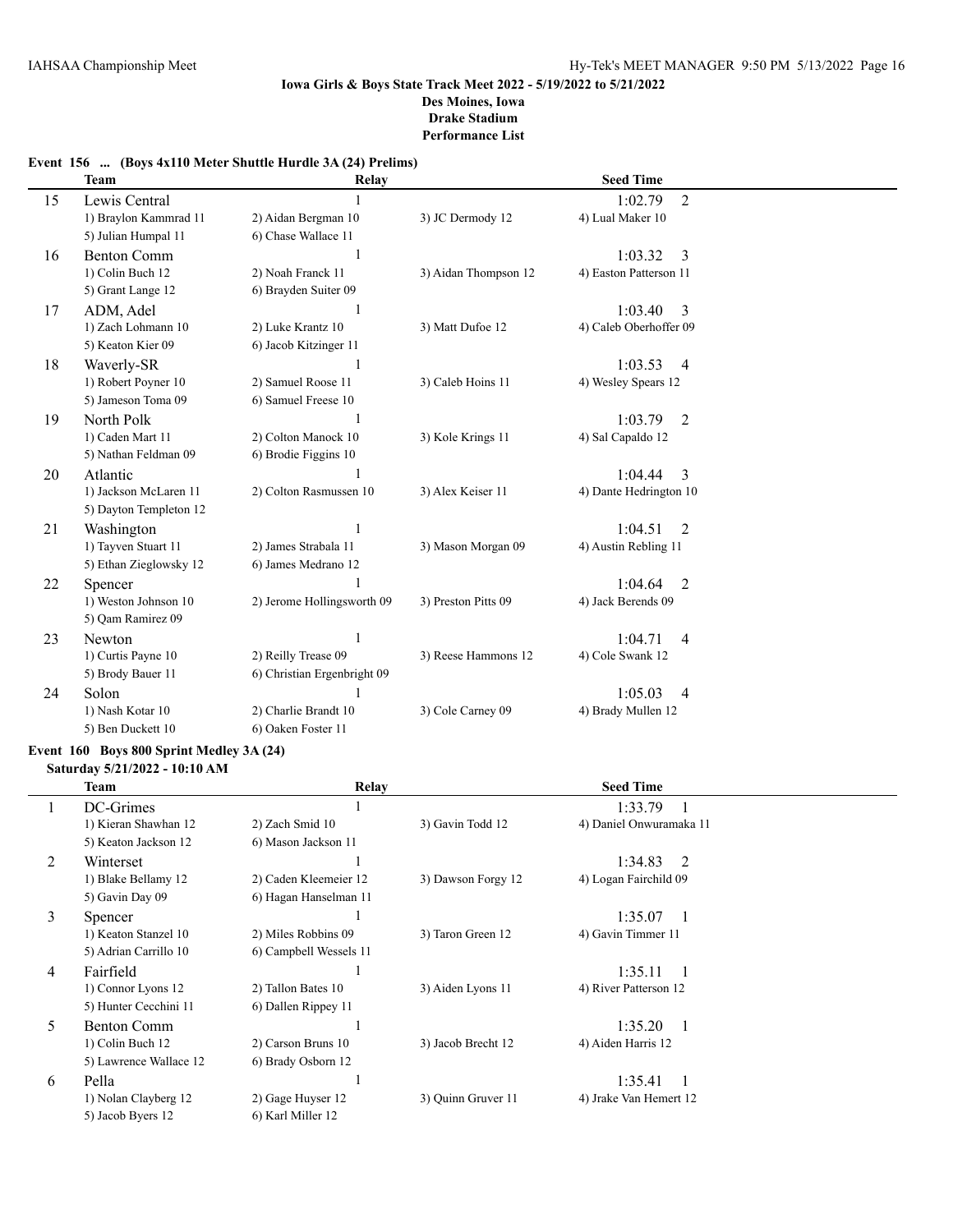## **Event 156 ... (Boys 4x110 Meter Shuttle Hurdle 3A (24) Prelims)**

|    | <b>Team</b>            | Relay                       |                      | <b>Seed Time</b>          |  |
|----|------------------------|-----------------------------|----------------------|---------------------------|--|
| 15 | Lewis Central          |                             |                      | 1:02.79<br>$\overline{2}$ |  |
|    | 1) Braylon Kammrad 11  | 2) Aidan Bergman 10         | 3) JC Dermody 12     | 4) Lual Maker 10          |  |
|    | 5) Julian Humpal 11    | 6) Chase Wallace 11         |                      |                           |  |
| 16 | <b>Benton Comm</b>     |                             |                      | 1:03.32<br>3              |  |
|    | 1) Colin Buch 12       | 2) Noah Franck 11           | 3) Aidan Thompson 12 | 4) Easton Patterson 11    |  |
|    | 5) Grant Lange 12      | 6) Brayden Suiter 09        |                      |                           |  |
| 17 | ADM, Adel              |                             |                      | 1:03.40<br>3              |  |
|    | 1) Zach Lohmann 10     | 2) Luke Krantz 10           | 3) Matt Dufoe 12     | 4) Caleb Oberhoffer 09    |  |
|    | 5) Keaton Kier 09      | 6) Jacob Kitzinger 11       |                      |                           |  |
| 18 | Waverly-SR             |                             |                      | 1:03.53<br>$\overline{4}$ |  |
|    | 1) Robert Poyner 10    | 2) Samuel Roose 11          | 3) Caleb Hoins 11    | 4) Wesley Spears 12       |  |
|    | 5) Jameson Toma 09     | 6) Samuel Freese 10         |                      |                           |  |
| 19 | North Polk             |                             |                      | 1:03.79<br>2              |  |
|    | 1) Caden Mart 11       | 2) Colton Manock 10         | 3) Kole Krings 11    | 4) Sal Capaldo 12         |  |
|    | 5) Nathan Feldman 09   | 6) Brodie Figgins 10        |                      |                           |  |
| 20 | Atlantic               |                             |                      | 1:04.44<br>3              |  |
|    | 1) Jackson McLaren 11  | 2) Colton Rasmussen 10      | 3) Alex Keiser 11    | 4) Dante Hedrington 10    |  |
|    | 5) Dayton Templeton 12 |                             |                      |                           |  |
| 21 | Washington             |                             |                      | 1:04.51<br>2              |  |
|    | 1) Tayven Stuart 11    | 2) James Strabala 11        | 3) Mason Morgan 09   | 4) Austin Rebling 11      |  |
|    | 5) Ethan Zieglowsky 12 | 6) James Medrano 12         |                      |                           |  |
| 22 | Spencer                |                             |                      | 1:04.64<br>2              |  |
|    | 1) Weston Johnson 10   | 2) Jerome Hollingsworth 09  | 3) Preston Pitts 09  | 4) Jack Berends 09        |  |
|    | 5) Qam Ramirez 09      |                             |                      |                           |  |
| 23 | Newton                 |                             |                      | 1:04.71<br>4              |  |
|    | 1) Curtis Payne 10     | 2) Reilly Trease 09         | 3) Reese Hammons 12  | 4) Cole Swank 12          |  |
|    | 5) Brody Bauer 11      | 6) Christian Ergenbright 09 |                      |                           |  |
| 24 | Solon                  |                             |                      | 1:05.03<br>4              |  |
|    | 1) Nash Kotar 10       | 2) Charlie Brandt 10        | 3) Cole Carney 09    | 4) Brady Mullen 12        |  |
|    | 5) Ben Duckett 10      | 6) Oaken Foster 11          |                      |                           |  |

## **Event 160 Boys 800 Sprint Medley 3A (24)**

**Saturday 5/21/2022 - 10:10 AM**

 $\overline{\phantom{a}}$ 

|              | <b>Team</b>            | Relay                  | <b>Seed Time</b>   |                           |
|--------------|------------------------|------------------------|--------------------|---------------------------|
| $\mathbf{I}$ | DC-Grimes              |                        |                    | 1:33.79                   |
|              | 1) Kieran Shawhan 12   | 2) Zach Smid 10        | 3) Gavin Todd 12   | 4) Daniel Onwuramaka 11   |
|              | 5) Keaton Jackson 12   | 6) Mason Jackson 11    |                    |                           |
| 2            | Winterset              |                        |                    | 1:34.83<br>2              |
|              | 1) Blake Bellamy 12    | 2) Caden Kleemeier 12  | 3) Dawson Forgy 12 | 4) Logan Fairchild 09     |
|              | 5) Gavin Day 09        | 6) Hagan Hanselman 11  |                    |                           |
| 3            | Spencer                |                        |                    | 1:35.07<br>$\overline{1}$ |
|              | 1) Keaton Stanzel 10   | 2) Miles Robbins 09    | 3) Taron Green 12  | 4) Gavin Timmer 11        |
|              | 5) Adrian Carrillo 10  | 6) Campbell Wessels 11 |                    |                           |
| 4            | Fairfield              |                        |                    | 1:35.11<br>$\overline{1}$ |
|              | 1) Connor Lyons 12     | 2) Tallon Bates 10     | 3) Aiden Lyons 11  | 4) River Patterson 12     |
|              | 5) Hunter Cecchini 11  | 6) Dallen Rippey 11    |                    |                           |
| 5            | <b>Benton Comm</b>     |                        |                    | 1:35.20<br>$\overline{1}$ |
|              | 1) Colin Buch 12       | 2) Carson Bruns 10     | 3) Jacob Brecht 12 | 4) Aiden Harris 12        |
|              | 5) Lawrence Wallace 12 | 6) Brady Osborn 12     |                    |                           |
| 6            | Pella                  |                        |                    | 1:35.41<br>$\overline{1}$ |
|              | 1) Nolan Clayberg 12   | 2) Gage Huyser 12      | 3) Quinn Gruver 11 | 4) Jrake Van Hemert 12    |
|              | 5) Jacob Byers 12      | 6) Karl Miller 12      |                    |                           |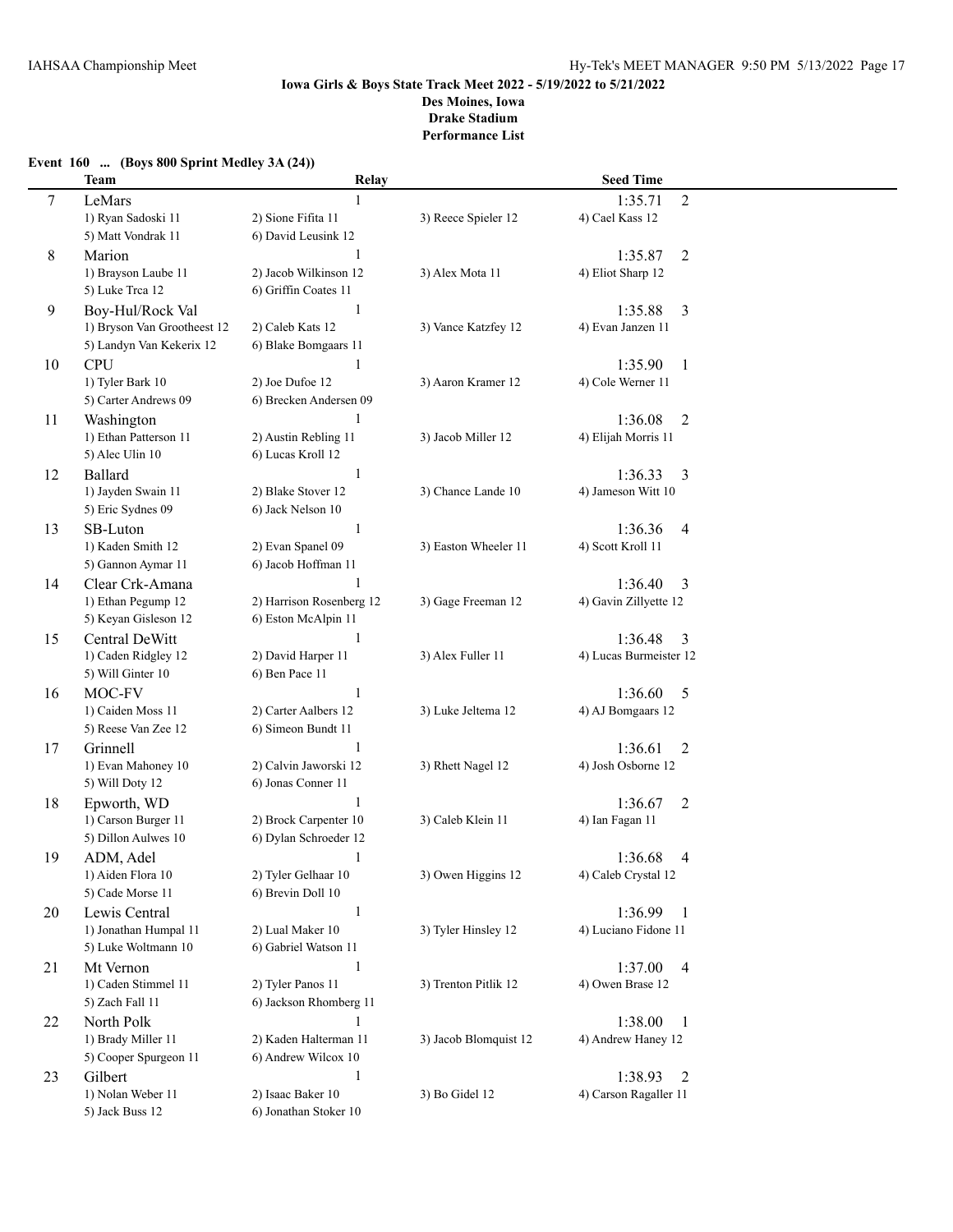## **Event 160 ... (Boys 800 Sprint Medley 3A (24)) Team Relay Seed Time** 7 LeMars 1 1:35.71 2 1) Ryan Sadoski 11 2) Sione Fifita 11 3) Reece Spieler 12 4) Cael Kass 12 5) Matt Vondrak 11 6) David Leusink 12 8 Marion 1 1:35.87 2 1) Brayson Laube 11 2) Jacob Wilkinson 12 3) Alex Mota 11 4) Eliot Sharp 12 5) Luke Trca 12 6) Griffin Coates 11 9 Boy-Hul/Rock Val 1 1:35.88 3 1) Bryson Van Grootheest 12 2) Caleb Kats 12 3) Vance Katzfey 12 4) Evan Janzen 11 5) Landyn Van Kekerix 12 6) Blake Bomgaars 11 10 CPU 1:35.90 1 1) Tyler Bark 10 2) Joe Dufoe 12 3) Aaron Kramer 12 4) Cole Werner 11 5) Carter Andrews 09 6) Brecken Andersen 09 11 Washington 1 1 1:36.08 2<br>11 1:36.08 1:36.08 1 1:36.08 1 2) Austin Rebling 11 3) Jacob Miller 12 4) Elijah Morris 11 1) Ethan Patterson 11 2) Austin Rebling 11 3) Jacob Miller 12 4) Elijah Morris 11 5) Alec Ulin 10 6) Lucas Kroll 12 12 Ballard 1 1:36.33 3 1) Jayden Swain 11 2) Blake Stover 12 3) Chance Lande 10 4) Jameson Witt 10 5) Eric Sydnes 09 6) Jack Nelson 10 13 SB-Luton 1 1 1:36.36 4 1) Kaden Smith 12 2) Evan Spanel 09 3) Easton Wheeler 11 4) Scott Kroll 11 5) Gannon Aymar 11 6) Jacob Hoffman 11 14 Clear Crk-Amana 1 1 1:36.40 3 1) Ethan Pegump 12 2) Harrison Rosenberg 12 3) Gage Freeman 12 4) Gavin Zillyette 12 5) Keyan Gisleson 12 6) Eston McAlpin 11 15 Central DeWitt 1 1:36.48 3 1) Caden Ridgley 12 2) David Harper 11 3) Alex Fuller 11 4) Lucas Burmeister 12 5) Will Ginter 10 6) Ben Pace 11 16 MOC-FV 1 1 1:36.60 5 1) Caiden Moss 11 2) Carter Aalbers 12 3) Luke Jeltema 12 4) AJ Bomgaars 12 5) Reese Van Zee 12 6) Simeon Bundt 11 17 Grinnell 1 1:36.61 2 1) Evan Mahoney 10 2) Calvin Jaworski 12 3) Rhett Nagel 12 4) Josh Osborne 12 5) Will Doty 12 6) Jonas Conner 11 18 Epworth, WD 1:36.67 2 1) Carson Burger 11 2) Brock Carpenter 10 3) Caleb Klein 11 4) Ian Fagan 11 5) Dillon Aulwes 10 6) Dylan Schroeder 12 19 ADM, Adel 1:36.68 4 1) Aiden Flora 10 2) Tyler Gelhaar 10 3) Owen Higgins 12 4) Caleb Crystal 12 5) Cade Morse 11 6) Brevin Doll 10 20 Lewis Central 1 1:36.99 1 1) Jonathan Humpal 11 2) Lual Maker 10 3) Tyler Hinsley 12 4) Luciano Fidone 11 5) Luke Woltmann 10 6) Gabriel Watson 11 21 Mt Vernon 1 1 1:37.00 4 1) Caden Stimmel 11 2) Tyler Panos 11 3) Trenton Pitlik 12 4) Owen Brase 12 5) Zach Fall 11 6) Jackson Rhomberg 11 22 North Polk 1 1:38.00 1 1) Brady Miller 11 2) Kaden Halterman 11 3) Jacob Blomquist 12 4) Andrew Haney 12 5) Cooper Spurgeon 11 6) Andrew Wilcox 10 23 Gilbert 1 1:38.93 2 1) Nolan Weber 11 2) Isaac Baker 10 3) Bo Gidel 12 4) Carson Ragaller 11 5) Jack Buss 12 6) Jonathan Stoker 10